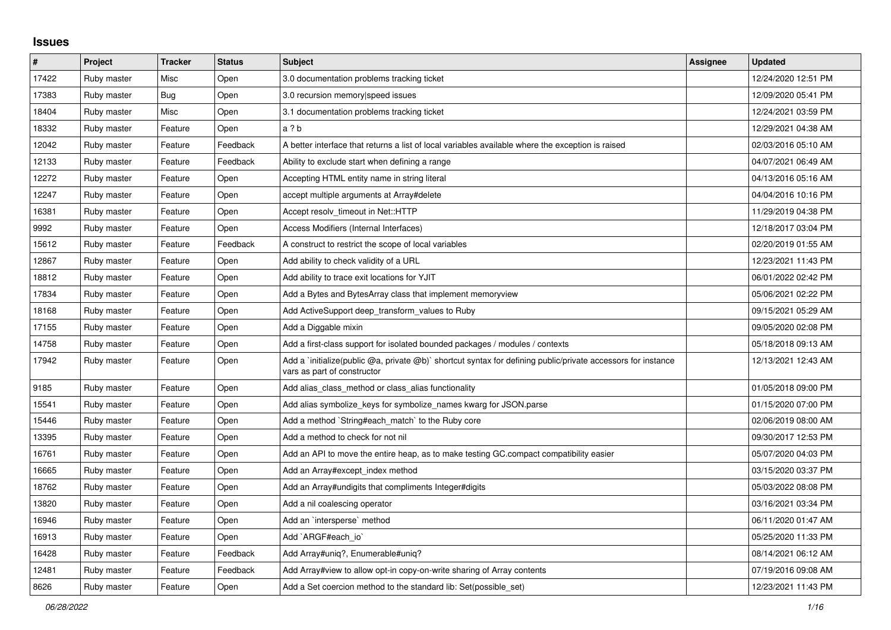## **Issues**

| $\pmb{\#}$ | Project     | <b>Tracker</b> | <b>Status</b> | <b>Subject</b>                                                                                                                              | <b>Assignee</b> | <b>Updated</b>      |
|------------|-------------|----------------|---------------|---------------------------------------------------------------------------------------------------------------------------------------------|-----------------|---------------------|
| 17422      | Ruby master | Misc           | Open          | 3.0 documentation problems tracking ticket                                                                                                  |                 | 12/24/2020 12:51 PM |
| 17383      | Ruby master | <b>Bug</b>     | Open          | 3.0 recursion memory speed issues                                                                                                           |                 | 12/09/2020 05:41 PM |
| 18404      | Ruby master | Misc           | Open          | 3.1 documentation problems tracking ticket                                                                                                  |                 | 12/24/2021 03:59 PM |
| 18332      | Ruby master | Feature        | Open          | a ? b                                                                                                                                       |                 | 12/29/2021 04:38 AM |
| 12042      | Ruby master | Feature        | Feedback      | A better interface that returns a list of local variables available where the exception is raised                                           |                 | 02/03/2016 05:10 AM |
| 12133      | Ruby master | Feature        | Feedback      | Ability to exclude start when defining a range                                                                                              |                 | 04/07/2021 06:49 AM |
| 12272      | Ruby master | Feature        | Open          | Accepting HTML entity name in string literal                                                                                                |                 | 04/13/2016 05:16 AM |
| 12247      | Ruby master | Feature        | Open          | accept multiple arguments at Array#delete                                                                                                   |                 | 04/04/2016 10:16 PM |
| 16381      | Ruby master | Feature        | Open          | Accept resolv timeout in Net::HTTP                                                                                                          |                 | 11/29/2019 04:38 PM |
| 9992       | Ruby master | Feature        | Open          | Access Modifiers (Internal Interfaces)                                                                                                      |                 | 12/18/2017 03:04 PM |
| 15612      | Ruby master | Feature        | Feedback      | A construct to restrict the scope of local variables                                                                                        |                 | 02/20/2019 01:55 AM |
| 12867      | Ruby master | Feature        | Open          | Add ability to check validity of a URL                                                                                                      |                 | 12/23/2021 11:43 PM |
| 18812      | Ruby master | Feature        | Open          | Add ability to trace exit locations for YJIT                                                                                                |                 | 06/01/2022 02:42 PM |
| 17834      | Ruby master | Feature        | Open          | Add a Bytes and BytesArray class that implement memoryview                                                                                  |                 | 05/06/2021 02:22 PM |
| 18168      | Ruby master | Feature        | Open          | Add ActiveSupport deep transform values to Ruby                                                                                             |                 | 09/15/2021 05:29 AM |
| 17155      | Ruby master | Feature        | Open          | Add a Diggable mixin                                                                                                                        |                 | 09/05/2020 02:08 PM |
| 14758      | Ruby master | Feature        | Open          | Add a first-class support for isolated bounded packages / modules / contexts                                                                |                 | 05/18/2018 09:13 AM |
| 17942      | Ruby master | Feature        | Open          | Add a `initialize(public @a, private @b)` shortcut syntax for defining public/private accessors for instance<br>vars as part of constructor |                 | 12/13/2021 12:43 AM |
| 9185       | Ruby master | Feature        | Open          | Add alias_class_method or class_alias functionality                                                                                         |                 | 01/05/2018 09:00 PM |
| 15541      | Ruby master | Feature        | Open          | Add alias symbolize_keys for symbolize_names kwarg for JSON.parse                                                                           |                 | 01/15/2020 07:00 PM |
| 15446      | Ruby master | Feature        | Open          | Add a method `String#each match` to the Ruby core                                                                                           |                 | 02/06/2019 08:00 AM |
| 13395      | Ruby master | Feature        | Open          | Add a method to check for not nil                                                                                                           |                 | 09/30/2017 12:53 PM |
| 16761      | Ruby master | Feature        | Open          | Add an API to move the entire heap, as to make testing GC.compact compatibility easier                                                      |                 | 05/07/2020 04:03 PM |
| 16665      | Ruby master | Feature        | Open          | Add an Array#except_index method                                                                                                            |                 | 03/15/2020 03:37 PM |
| 18762      | Ruby master | Feature        | Open          | Add an Array#undigits that compliments Integer#digits                                                                                       |                 | 05/03/2022 08:08 PM |
| 13820      | Ruby master | Feature        | Open          | Add a nil coalescing operator                                                                                                               |                 | 03/16/2021 03:34 PM |
| 16946      | Ruby master | Feature        | Open          | Add an `intersperse` method                                                                                                                 |                 | 06/11/2020 01:47 AM |
| 16913      | Ruby master | Feature        | Open          | Add `ARGF#each_io`                                                                                                                          |                 | 05/25/2020 11:33 PM |
| 16428      | Ruby master | Feature        | Feedback      | Add Array#uniq?, Enumerable#uniq?                                                                                                           |                 | 08/14/2021 06:12 AM |
| 12481      | Ruby master | Feature        | Feedback      | Add Array#view to allow opt-in copy-on-write sharing of Array contents                                                                      |                 | 07/19/2016 09:08 AM |
| 8626       | Ruby master | Feature        | Open          | Add a Set coercion method to the standard lib: Set (possible set)                                                                           |                 | 12/23/2021 11:43 PM |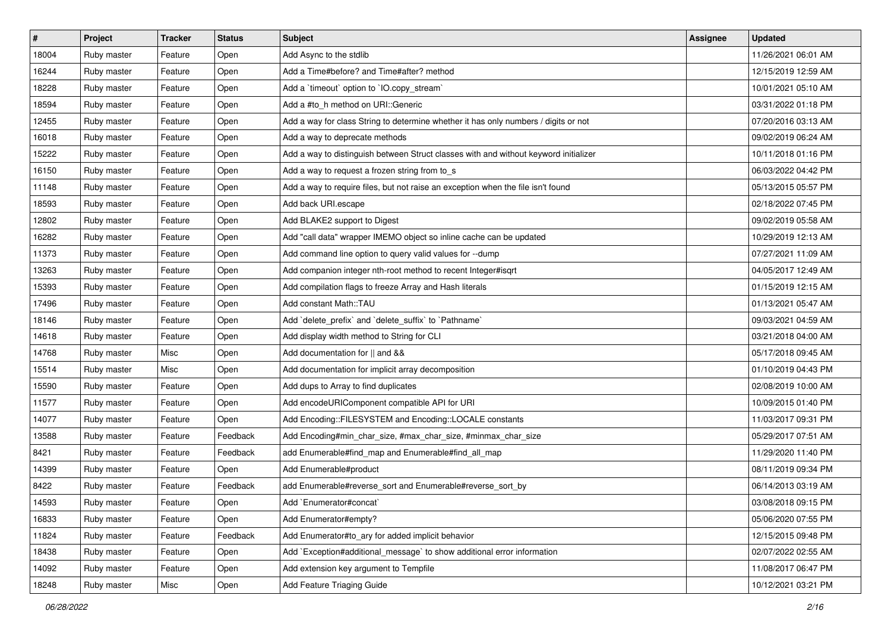| $\vert$ # | Project     | <b>Tracker</b> | <b>Status</b> | Subject                                                                              | Assignee | <b>Updated</b>      |
|-----------|-------------|----------------|---------------|--------------------------------------------------------------------------------------|----------|---------------------|
| 18004     | Ruby master | Feature        | Open          | Add Async to the stdlib                                                              |          | 11/26/2021 06:01 AM |
| 16244     | Ruby master | Feature        | Open          | Add a Time#before? and Time#after? method                                            |          | 12/15/2019 12:59 AM |
| 18228     | Ruby master | Feature        | Open          | Add a 'timeout' option to 'IO.copy_stream'                                           |          | 10/01/2021 05:10 AM |
| 18594     | Ruby master | Feature        | Open          | Add a #to_h method on URI::Generic                                                   |          | 03/31/2022 01:18 PM |
| 12455     | Ruby master | Feature        | Open          | Add a way for class String to determine whether it has only numbers / digits or not  |          | 07/20/2016 03:13 AM |
| 16018     | Ruby master | Feature        | Open          | Add a way to deprecate methods                                                       |          | 09/02/2019 06:24 AM |
| 15222     | Ruby master | Feature        | Open          | Add a way to distinguish between Struct classes with and without keyword initializer |          | 10/11/2018 01:16 PM |
| 16150     | Ruby master | Feature        | Open          | Add a way to request a frozen string from to_s                                       |          | 06/03/2022 04:42 PM |
| 11148     | Ruby master | Feature        | Open          | Add a way to require files, but not raise an exception when the file isn't found     |          | 05/13/2015 05:57 PM |
| 18593     | Ruby master | Feature        | Open          | Add back URI.escape                                                                  |          | 02/18/2022 07:45 PM |
| 12802     | Ruby master | Feature        | Open          | Add BLAKE2 support to Digest                                                         |          | 09/02/2019 05:58 AM |
| 16282     | Ruby master | Feature        | Open          | Add "call data" wrapper IMEMO object so inline cache can be updated                  |          | 10/29/2019 12:13 AM |
| 11373     | Ruby master | Feature        | Open          | Add command line option to query valid values for --dump                             |          | 07/27/2021 11:09 AM |
| 13263     | Ruby master | Feature        | Open          | Add companion integer nth-root method to recent Integer#isqrt                        |          | 04/05/2017 12:49 AM |
| 15393     | Ruby master | Feature        | Open          | Add compilation flags to freeze Array and Hash literals                              |          | 01/15/2019 12:15 AM |
| 17496     | Ruby master | Feature        | Open          | Add constant Math::TAU                                                               |          | 01/13/2021 05:47 AM |
| 18146     | Ruby master | Feature        | Open          | Add 'delete_prefix' and 'delete_suffix' to 'Pathname'                                |          | 09/03/2021 04:59 AM |
| 14618     | Ruby master | Feature        | Open          | Add display width method to String for CLI                                           |          | 03/21/2018 04:00 AM |
| 14768     | Ruby master | Misc           | Open          | Add documentation for    and &&                                                      |          | 05/17/2018 09:45 AM |
| 15514     | Ruby master | Misc           | Open          | Add documentation for implicit array decomposition                                   |          | 01/10/2019 04:43 PM |
| 15590     | Ruby master | Feature        | Open          | Add dups to Array to find duplicates                                                 |          | 02/08/2019 10:00 AM |
| 11577     | Ruby master | Feature        | Open          | Add encodeURIComponent compatible API for URI                                        |          | 10/09/2015 01:40 PM |
| 14077     | Ruby master | Feature        | Open          | Add Encoding::FILESYSTEM and Encoding::LOCALE constants                              |          | 11/03/2017 09:31 PM |
| 13588     | Ruby master | Feature        | Feedback      | Add Encoding#min_char_size, #max_char_size, #minmax_char_size                        |          | 05/29/2017 07:51 AM |
| 8421      | Ruby master | Feature        | Feedback      | add Enumerable#find_map and Enumerable#find_all_map                                  |          | 11/29/2020 11:40 PM |
| 14399     | Ruby master | Feature        | Open          | Add Enumerable#product                                                               |          | 08/11/2019 09:34 PM |
| 8422      | Ruby master | Feature        | Feedback      | add Enumerable#reverse_sort and Enumerable#reverse_sort_by                           |          | 06/14/2013 03:19 AM |
| 14593     | Ruby master | Feature        | Open          | Add `Enumerator#concat`                                                              |          | 03/08/2018 09:15 PM |
| 16833     | Ruby master | Feature        | Open          | Add Enumerator#empty?                                                                |          | 05/06/2020 07:55 PM |
| 11824     | Ruby master | Feature        | Feedback      | Add Enumerator#to_ary for added implicit behavior                                    |          | 12/15/2015 09:48 PM |
| 18438     | Ruby master | Feature        | Open          | Add `Exception#additional_message` to show additional error information              |          | 02/07/2022 02:55 AM |
| 14092     | Ruby master | Feature        | Open          | Add extension key argument to Tempfile                                               |          | 11/08/2017 06:47 PM |
| 18248     | Ruby master | Misc           | Open          | Add Feature Triaging Guide                                                           |          | 10/12/2021 03:21 PM |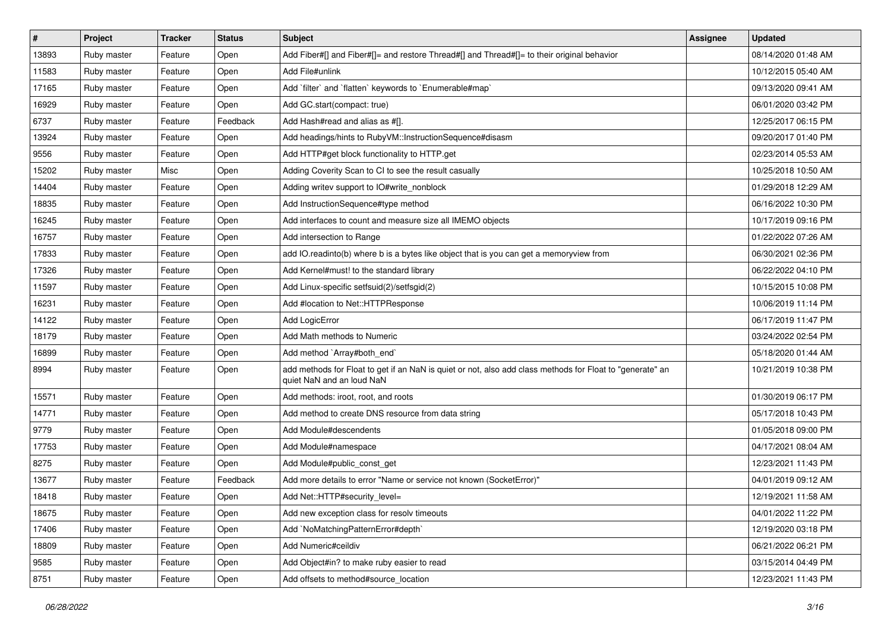| #     | Project     | <b>Tracker</b> | <b>Status</b> | <b>Subject</b>                                                                                                                         | <b>Assignee</b> | <b>Updated</b>      |
|-------|-------------|----------------|---------------|----------------------------------------------------------------------------------------------------------------------------------------|-----------------|---------------------|
| 13893 | Ruby master | Feature        | Open          | Add Fiber#[] and Fiber#[]= and restore Thread#[] and Thread#[]= to their original behavior                                             |                 | 08/14/2020 01:48 AM |
| 11583 | Ruby master | Feature        | Open          | Add File#unlink                                                                                                                        |                 | 10/12/2015 05:40 AM |
| 17165 | Ruby master | Feature        | Open          | Add `filter` and `flatten` keywords to `Enumerable#map`                                                                                |                 | 09/13/2020 09:41 AM |
| 16929 | Ruby master | Feature        | Open          | Add GC.start(compact: true)                                                                                                            |                 | 06/01/2020 03:42 PM |
| 6737  | Ruby master | Feature        | Feedback      | Add Hash#read and alias as #[].                                                                                                        |                 | 12/25/2017 06:15 PM |
| 13924 | Ruby master | Feature        | Open          | Add headings/hints to RubyVM::InstructionSequence#disasm                                                                               |                 | 09/20/2017 01:40 PM |
| 9556  | Ruby master | Feature        | Open          | Add HTTP#get block functionality to HTTP.get                                                                                           |                 | 02/23/2014 05:53 AM |
| 15202 | Ruby master | Misc           | Open          | Adding Coverity Scan to CI to see the result casually                                                                                  |                 | 10/25/2018 10:50 AM |
| 14404 | Ruby master | Feature        | Open          | Adding writev support to IO#write_nonblock                                                                                             |                 | 01/29/2018 12:29 AM |
| 18835 | Ruby master | Feature        | Open          | Add InstructionSequence#type method                                                                                                    |                 | 06/16/2022 10:30 PM |
| 16245 | Ruby master | Feature        | Open          | Add interfaces to count and measure size all IMEMO objects                                                                             |                 | 10/17/2019 09:16 PM |
| 16757 | Ruby master | Feature        | Open          | Add intersection to Range                                                                                                              |                 | 01/22/2022 07:26 AM |
| 17833 | Ruby master | Feature        | Open          | add IO.readinto(b) where b is a bytes like object that is you can get a memoryview from                                                |                 | 06/30/2021 02:36 PM |
| 17326 | Ruby master | Feature        | Open          | Add Kernel#must! to the standard library                                                                                               |                 | 06/22/2022 04:10 PM |
| 11597 | Ruby master | Feature        | Open          | Add Linux-specific setfsuid(2)/setfsgid(2)                                                                                             |                 | 10/15/2015 10:08 PM |
| 16231 | Ruby master | Feature        | Open          | Add #location to Net::HTTPResponse                                                                                                     |                 | 10/06/2019 11:14 PM |
| 14122 | Ruby master | Feature        | Open          | Add LogicError                                                                                                                         |                 | 06/17/2019 11:47 PM |
| 18179 | Ruby master | Feature        | Open          | Add Math methods to Numeric                                                                                                            |                 | 03/24/2022 02:54 PM |
| 16899 | Ruby master | Feature        | Open          | Add method `Array#both_end`                                                                                                            |                 | 05/18/2020 01:44 AM |
| 8994  | Ruby master | Feature        | Open          | add methods for Float to get if an NaN is quiet or not, also add class methods for Float to "generate" an<br>quiet NaN and an loud NaN |                 | 10/21/2019 10:38 PM |
| 15571 | Ruby master | Feature        | Open          | Add methods: iroot, root, and roots                                                                                                    |                 | 01/30/2019 06:17 PM |
| 14771 | Ruby master | Feature        | Open          | Add method to create DNS resource from data string                                                                                     |                 | 05/17/2018 10:43 PM |
| 9779  | Ruby master | Feature        | Open          | Add Module#descendents                                                                                                                 |                 | 01/05/2018 09:00 PM |
| 17753 | Ruby master | Feature        | Open          | Add Module#namespace                                                                                                                   |                 | 04/17/2021 08:04 AM |
| 8275  | Ruby master | Feature        | Open          | Add Module#public_const_get                                                                                                            |                 | 12/23/2021 11:43 PM |
| 13677 | Ruby master | Feature        | Feedback      | Add more details to error "Name or service not known (SocketError)"                                                                    |                 | 04/01/2019 09:12 AM |
| 18418 | Ruby master | Feature        | Open          | Add Net::HTTP#security level=                                                                                                          |                 | 12/19/2021 11:58 AM |
| 18675 | Ruby master | Feature        | Open          | Add new exception class for resolv timeouts                                                                                            |                 | 04/01/2022 11:22 PM |
| 17406 | Ruby master | Feature        | Open          | Add `NoMatchingPatternError#depth`                                                                                                     |                 | 12/19/2020 03:18 PM |
| 18809 | Ruby master | Feature        | Open          | Add Numeric#ceildiv                                                                                                                    |                 | 06/21/2022 06:21 PM |
| 9585  | Ruby master | Feature        | Open          | Add Object#in? to make ruby easier to read                                                                                             |                 | 03/15/2014 04:49 PM |
| 8751  | Ruby master | Feature        | Open          | Add offsets to method#source_location                                                                                                  |                 | 12/23/2021 11:43 PM |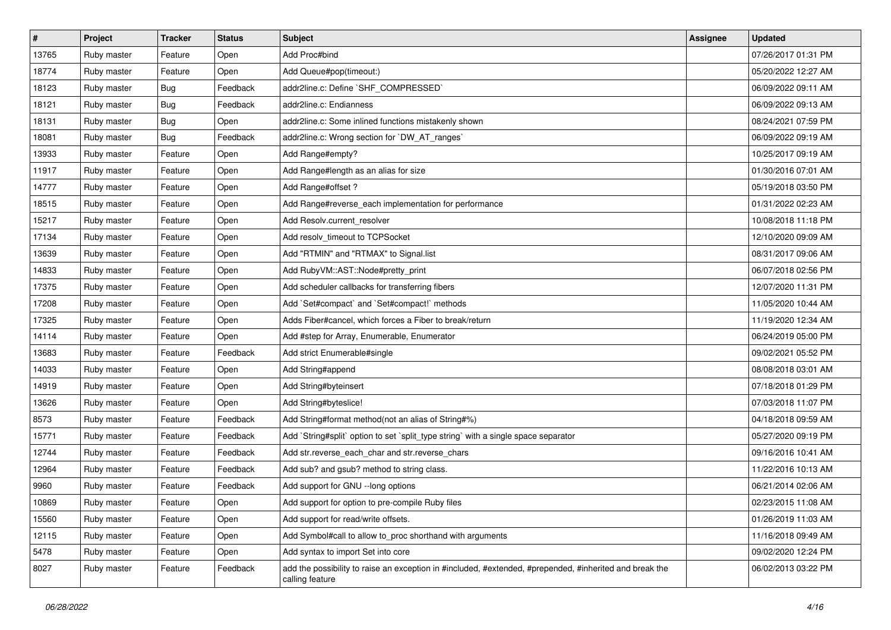| #     | Project     | <b>Tracker</b> | <b>Status</b> | <b>Subject</b>                                                                                                             | <b>Assignee</b> | <b>Updated</b>      |
|-------|-------------|----------------|---------------|----------------------------------------------------------------------------------------------------------------------------|-----------------|---------------------|
| 13765 | Ruby master | Feature        | Open          | Add Proc#bind                                                                                                              |                 | 07/26/2017 01:31 PM |
| 18774 | Ruby master | Feature        | Open          | Add Queue#pop(timeout:)                                                                                                    |                 | 05/20/2022 12:27 AM |
| 18123 | Ruby master | <b>Bug</b>     | Feedback      | addr2line.c: Define `SHF_COMPRESSED`                                                                                       |                 | 06/09/2022 09:11 AM |
| 18121 | Ruby master | <b>Bug</b>     | Feedback      | addr2line.c: Endianness                                                                                                    |                 | 06/09/2022 09:13 AM |
| 18131 | Ruby master | Bug            | Open          | addr2line.c: Some inlined functions mistakenly shown                                                                       |                 | 08/24/2021 07:59 PM |
| 18081 | Ruby master | Bug            | Feedback      | addr2line.c: Wrong section for `DW_AT_ranges`                                                                              |                 | 06/09/2022 09:19 AM |
| 13933 | Ruby master | Feature        | Open          | Add Range#empty?                                                                                                           |                 | 10/25/2017 09:19 AM |
| 11917 | Ruby master | Feature        | Open          | Add Range#length as an alias for size                                                                                      |                 | 01/30/2016 07:01 AM |
| 14777 | Ruby master | Feature        | Open          | Add Range#offset?                                                                                                          |                 | 05/19/2018 03:50 PM |
| 18515 | Ruby master | Feature        | Open          | Add Range#reverse_each implementation for performance                                                                      |                 | 01/31/2022 02:23 AM |
| 15217 | Ruby master | Feature        | Open          | Add Resolv.current resolver                                                                                                |                 | 10/08/2018 11:18 PM |
| 17134 | Ruby master | Feature        | Open          | Add resolv_timeout to TCPSocket                                                                                            |                 | 12/10/2020 09:09 AM |
| 13639 | Ruby master | Feature        | Open          | Add "RTMIN" and "RTMAX" to Signal.list                                                                                     |                 | 08/31/2017 09:06 AM |
| 14833 | Ruby master | Feature        | Open          | Add RubyVM::AST::Node#pretty_print                                                                                         |                 | 06/07/2018 02:56 PM |
| 17375 | Ruby master | Feature        | Open          | Add scheduler callbacks for transferring fibers                                                                            |                 | 12/07/2020 11:31 PM |
| 17208 | Ruby master | Feature        | Open          | Add `Set#compact` and `Set#compact!` methods                                                                               |                 | 11/05/2020 10:44 AM |
| 17325 | Ruby master | Feature        | Open          | Adds Fiber#cancel, which forces a Fiber to break/return                                                                    |                 | 11/19/2020 12:34 AM |
| 14114 | Ruby master | Feature        | Open          | Add #step for Array, Enumerable, Enumerator                                                                                |                 | 06/24/2019 05:00 PM |
| 13683 | Ruby master | Feature        | Feedback      | Add strict Enumerable#single                                                                                               |                 | 09/02/2021 05:52 PM |
| 14033 | Ruby master | Feature        | Open          | Add String#append                                                                                                          |                 | 08/08/2018 03:01 AM |
| 14919 | Ruby master | Feature        | Open          | Add String#byteinsert                                                                                                      |                 | 07/18/2018 01:29 PM |
| 13626 | Ruby master | Feature        | Open          | Add String#byteslice!                                                                                                      |                 | 07/03/2018 11:07 PM |
| 8573  | Ruby master | Feature        | Feedback      | Add String#format method(not an alias of String#%)                                                                         |                 | 04/18/2018 09:59 AM |
| 15771 | Ruby master | Feature        | Feedback      | Add `String#split` option to set `split_type string` with a single space separator                                         |                 | 05/27/2020 09:19 PM |
| 12744 | Ruby master | Feature        | Feedback      | Add str.reverse_each_char and str.reverse_chars                                                                            |                 | 09/16/2016 10:41 AM |
| 12964 | Ruby master | Feature        | Feedback      | Add sub? and gsub? method to string class.                                                                                 |                 | 11/22/2016 10:13 AM |
| 9960  | Ruby master | Feature        | Feedback      | Add support for GNU --long options                                                                                         |                 | 06/21/2014 02:06 AM |
| 10869 | Ruby master | Feature        | Open          | Add support for option to pre-compile Ruby files                                                                           |                 | 02/23/2015 11:08 AM |
| 15560 | Ruby master | Feature        | Open          | Add support for read/write offsets.                                                                                        |                 | 01/26/2019 11:03 AM |
| 12115 | Ruby master | Feature        | Open          | Add Symbol#call to allow to_proc shorthand with arguments                                                                  |                 | 11/16/2018 09:49 AM |
| 5478  | Ruby master | Feature        | Open          | Add syntax to import Set into core                                                                                         |                 | 09/02/2020 12:24 PM |
| 8027  | Ruby master | Feature        | Feedback      | add the possibility to raise an exception in #included, #extended, #prepended, #inherited and break the<br>calling feature |                 | 06/02/2013 03:22 PM |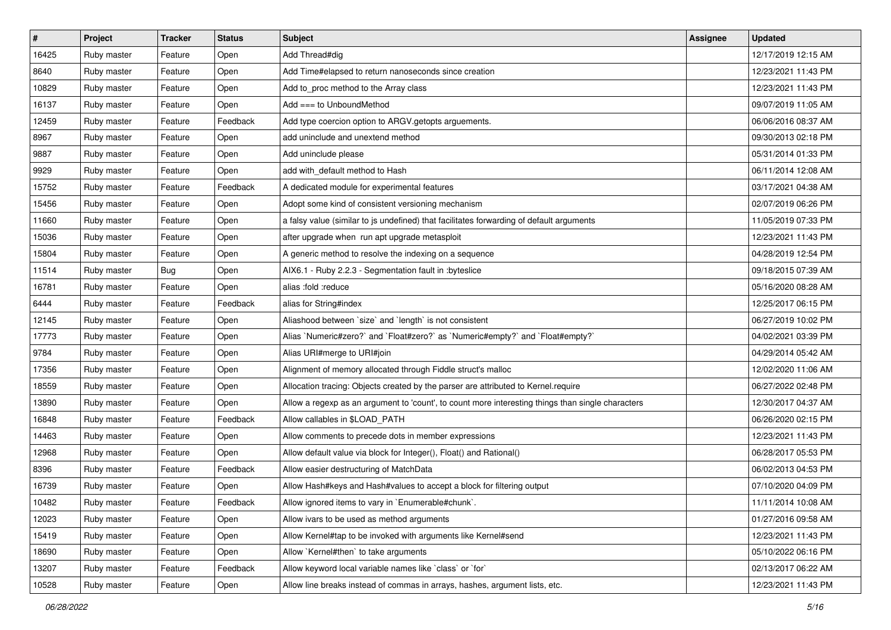| #     | Project     | <b>Tracker</b> | <b>Status</b> | <b>Subject</b>                                                                                    | <b>Assignee</b> | <b>Updated</b>      |
|-------|-------------|----------------|---------------|---------------------------------------------------------------------------------------------------|-----------------|---------------------|
| 16425 | Ruby master | Feature        | Open          | Add Thread#dig                                                                                    |                 | 12/17/2019 12:15 AM |
| 8640  | Ruby master | Feature        | Open          | Add Time#elapsed to return nanoseconds since creation                                             |                 | 12/23/2021 11:43 PM |
| 10829 | Ruby master | Feature        | Open          | Add to_proc method to the Array class                                                             |                 | 12/23/2021 11:43 PM |
| 16137 | Ruby master | Feature        | Open          | Add $==$ to UnboundMethod                                                                         |                 | 09/07/2019 11:05 AM |
| 12459 | Ruby master | Feature        | Feedback      | Add type coercion option to ARGV getopts arguements.                                              |                 | 06/06/2016 08:37 AM |
| 8967  | Ruby master | Feature        | Open          | add uninclude and unextend method                                                                 |                 | 09/30/2013 02:18 PM |
| 9887  | Ruby master | Feature        | Open          | Add uninclude please                                                                              |                 | 05/31/2014 01:33 PM |
| 9929  | Ruby master | Feature        | Open          | add with default method to Hash                                                                   |                 | 06/11/2014 12:08 AM |
| 15752 | Ruby master | Feature        | Feedback      | A dedicated module for experimental features                                                      |                 | 03/17/2021 04:38 AM |
| 15456 | Ruby master | Feature        | Open          | Adopt some kind of consistent versioning mechanism                                                |                 | 02/07/2019 06:26 PM |
| 11660 | Ruby master | Feature        | Open          | a falsy value (similar to js undefined) that facilitates forwarding of default arguments          |                 | 11/05/2019 07:33 PM |
| 15036 | Ruby master | Feature        | Open          | after upgrade when run apt upgrade metasploit                                                     |                 | 12/23/2021 11:43 PM |
| 15804 | Ruby master | Feature        | Open          | A generic method to resolve the indexing on a sequence                                            |                 | 04/28/2019 12:54 PM |
| 11514 | Ruby master | Bug            | Open          | AIX6.1 - Ruby 2.2.3 - Segmentation fault in :byteslice                                            |                 | 09/18/2015 07:39 AM |
| 16781 | Ruby master | Feature        | Open          | alias :fold :reduce                                                                               |                 | 05/16/2020 08:28 AM |
| 6444  | Ruby master | Feature        | Feedback      | alias for String#index                                                                            |                 | 12/25/2017 06:15 PM |
| 12145 | Ruby master | Feature        | Open          | Aliashood between 'size' and 'length' is not consistent                                           |                 | 06/27/2019 10:02 PM |
| 17773 | Ruby master | Feature        | Open          | Alias `Numeric#zero?` and `Float#zero?` as `Numeric#empty?` and `Float#empty?`                    |                 | 04/02/2021 03:39 PM |
| 9784  | Ruby master | Feature        | Open          | Alias URI#merge to URI#join                                                                       |                 | 04/29/2014 05:42 AM |
| 17356 | Ruby master | Feature        | Open          | Alignment of memory allocated through Fiddle struct's malloc                                      |                 | 12/02/2020 11:06 AM |
| 18559 | Ruby master | Feature        | Open          | Allocation tracing: Objects created by the parser are attributed to Kernel.require                |                 | 06/27/2022 02:48 PM |
| 13890 | Ruby master | Feature        | Open          | Allow a regexp as an argument to 'count', to count more interesting things than single characters |                 | 12/30/2017 04:37 AM |
| 16848 | Ruby master | Feature        | Feedback      | Allow callables in \$LOAD_PATH                                                                    |                 | 06/26/2020 02:15 PM |
| 14463 | Ruby master | Feature        | Open          | Allow comments to precede dots in member expressions                                              |                 | 12/23/2021 11:43 PM |
| 12968 | Ruby master | Feature        | Open          | Allow default value via block for Integer(), Float() and Rational()                               |                 | 06/28/2017 05:53 PM |
| 8396  | Ruby master | Feature        | Feedback      | Allow easier destructuring of MatchData                                                           |                 | 06/02/2013 04:53 PM |
| 16739 | Ruby master | Feature        | Open          | Allow Hash#keys and Hash#values to accept a block for filtering output                            |                 | 07/10/2020 04:09 PM |
| 10482 | Ruby master | Feature        | Feedback      | Allow ignored items to vary in `Enumerable#chunk`.                                                |                 | 11/11/2014 10:08 AM |
| 12023 | Ruby master | Feature        | Open          | Allow ivars to be used as method arguments                                                        |                 | 01/27/2016 09:58 AM |
| 15419 | Ruby master | Feature        | Open          | Allow Kernel#tap to be invoked with arguments like Kernel#send                                    |                 | 12/23/2021 11:43 PM |
| 18690 | Ruby master | Feature        | Open          | Allow `Kernel#then` to take arguments                                                             |                 | 05/10/2022 06:16 PM |
| 13207 | Ruby master | Feature        | Feedback      | Allow keyword local variable names like `class` or `for`                                          |                 | 02/13/2017 06:22 AM |
| 10528 | Ruby master | Feature        | Open          | Allow line breaks instead of commas in arrays, hashes, argument lists, etc.                       |                 | 12/23/2021 11:43 PM |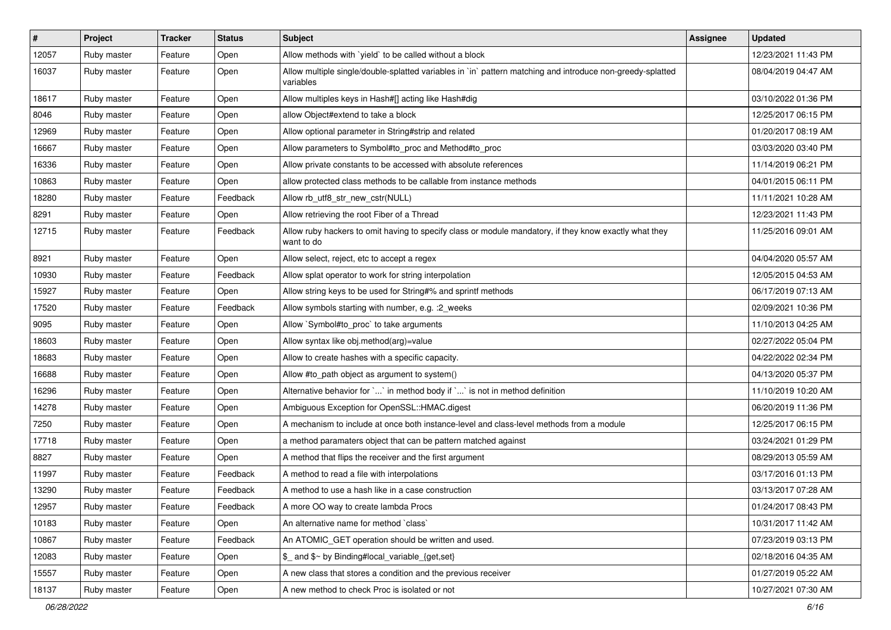| $\vert$ # | Project     | <b>Tracker</b> | <b>Status</b> | <b>Subject</b>                                                                                                          | <b>Assignee</b> | <b>Updated</b>      |
|-----------|-------------|----------------|---------------|-------------------------------------------------------------------------------------------------------------------------|-----------------|---------------------|
| 12057     | Ruby master | Feature        | Open          | Allow methods with 'yield' to be called without a block                                                                 |                 | 12/23/2021 11:43 PM |
| 16037     | Ruby master | Feature        | Open          | Allow multiple single/double-splatted variables in `in` pattern matching and introduce non-greedy-splatted<br>variables |                 | 08/04/2019 04:47 AM |
| 18617     | Ruby master | Feature        | Open          | Allow multiples keys in Hash#[] acting like Hash#dig                                                                    |                 | 03/10/2022 01:36 PM |
| 8046      | Ruby master | Feature        | Open          | allow Object#extend to take a block                                                                                     |                 | 12/25/2017 06:15 PM |
| 12969     | Ruby master | Feature        | Open          | Allow optional parameter in String#strip and related                                                                    |                 | 01/20/2017 08:19 AM |
| 16667     | Ruby master | Feature        | Open          | Allow parameters to Symbol#to_proc and Method#to_proc                                                                   |                 | 03/03/2020 03:40 PM |
| 16336     | Ruby master | Feature        | Open          | Allow private constants to be accessed with absolute references                                                         |                 | 11/14/2019 06:21 PM |
| 10863     | Ruby master | Feature        | Open          | allow protected class methods to be callable from instance methods                                                      |                 | 04/01/2015 06:11 PM |
| 18280     | Ruby master | Feature        | Feedback      | Allow rb_utf8_str_new_cstr(NULL)                                                                                        |                 | 11/11/2021 10:28 AM |
| 8291      | Ruby master | Feature        | Open          | Allow retrieving the root Fiber of a Thread                                                                             |                 | 12/23/2021 11:43 PM |
| 12715     | Ruby master | Feature        | Feedback      | Allow ruby hackers to omit having to specify class or module mandatory, if they know exactly what they<br>want to do    |                 | 11/25/2016 09:01 AM |
| 8921      | Ruby master | Feature        | Open          | Allow select, reject, etc to accept a regex                                                                             |                 | 04/04/2020 05:57 AM |
| 10930     | Ruby master | Feature        | Feedback      | Allow splat operator to work for string interpolation                                                                   |                 | 12/05/2015 04:53 AM |
| 15927     | Ruby master | Feature        | Open          | Allow string keys to be used for String#% and sprintf methods                                                           |                 | 06/17/2019 07:13 AM |
| 17520     | Ruby master | Feature        | Feedback      | Allow symbols starting with number, e.g. : 2_weeks                                                                      |                 | 02/09/2021 10:36 PM |
| 9095      | Ruby master | Feature        | Open          | Allow `Symbol#to_proc` to take arguments                                                                                |                 | 11/10/2013 04:25 AM |
| 18603     | Ruby master | Feature        | Open          | Allow syntax like obj.method(arg)=value                                                                                 |                 | 02/27/2022 05:04 PM |
| 18683     | Ruby master | Feature        | Open          | Allow to create hashes with a specific capacity.                                                                        |                 | 04/22/2022 02:34 PM |
| 16688     | Ruby master | Feature        | Open          | Allow #to_path object as argument to system()                                                                           |                 | 04/13/2020 05:37 PM |
| 16296     | Ruby master | Feature        | Open          | Alternative behavior for ` ` in method body if ` ` is not in method definition                                          |                 | 11/10/2019 10:20 AM |
| 14278     | Ruby master | Feature        | Open          | Ambiguous Exception for OpenSSL::HMAC.digest                                                                            |                 | 06/20/2019 11:36 PM |
| 7250      | Ruby master | Feature        | Open          | A mechanism to include at once both instance-level and class-level methods from a module                                |                 | 12/25/2017 06:15 PM |
| 17718     | Ruby master | Feature        | Open          | a method paramaters object that can be pattern matched against                                                          |                 | 03/24/2021 01:29 PM |
| 8827      | Ruby master | Feature        | Open          | A method that flips the receiver and the first argument                                                                 |                 | 08/29/2013 05:59 AM |
| 11997     | Ruby master | Feature        | Feedback      | A method to read a file with interpolations                                                                             |                 | 03/17/2016 01:13 PM |
| 13290     | Ruby master | Feature        | Feedback      | A method to use a hash like in a case construction                                                                      |                 | 03/13/2017 07:28 AM |
| 12957     | Ruby master | Feature        | Feedback      | A more OO way to create lambda Procs                                                                                    |                 | 01/24/2017 08:43 PM |
| 10183     | Ruby master | Feature        | Open          | An alternative name for method `class`                                                                                  |                 | 10/31/2017 11:42 AM |
| 10867     | Ruby master | Feature        | Feedback      | An ATOMIC_GET operation should be written and used.                                                                     |                 | 07/23/2019 03:13 PM |
| 12083     | Ruby master | Feature        | Open          | $$$ and $$^{\sim}$ by Binding#local variable {get,set}                                                                  |                 | 02/18/2016 04:35 AM |
| 15557     | Ruby master | Feature        | Open          | A new class that stores a condition and the previous receiver                                                           |                 | 01/27/2019 05:22 AM |
| 18137     | Ruby master | Feature        | Open          | A new method to check Proc is isolated or not                                                                           |                 | 10/27/2021 07:30 AM |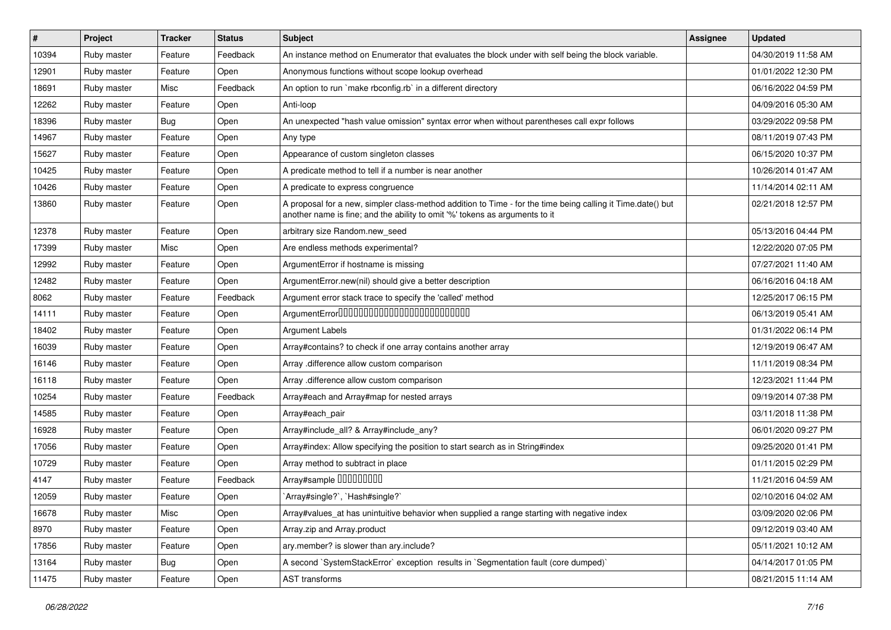| $\vert$ # | Project     | <b>Tracker</b> | <b>Status</b> | <b>Subject</b>                                                                                                                                                                             | <b>Assignee</b> | <b>Updated</b>      |
|-----------|-------------|----------------|---------------|--------------------------------------------------------------------------------------------------------------------------------------------------------------------------------------------|-----------------|---------------------|
| 10394     | Ruby master | Feature        | Feedback      | An instance method on Enumerator that evaluates the block under with self being the block variable.                                                                                        |                 | 04/30/2019 11:58 AM |
| 12901     | Ruby master | Feature        | Open          | Anonymous functions without scope lookup overhead                                                                                                                                          |                 | 01/01/2022 12:30 PM |
| 18691     | Ruby master | Misc           | Feedback      | An option to run `make rbconfig.rb` in a different directory                                                                                                                               |                 | 06/16/2022 04:59 PM |
| 12262     | Ruby master | Feature        | Open          | Anti-loop                                                                                                                                                                                  |                 | 04/09/2016 05:30 AM |
| 18396     | Ruby master | <b>Bug</b>     | Open          | An unexpected "hash value omission" syntax error when without parentheses call expr follows                                                                                                |                 | 03/29/2022 09:58 PM |
| 14967     | Ruby master | Feature        | Open          | Any type                                                                                                                                                                                   |                 | 08/11/2019 07:43 PM |
| 15627     | Ruby master | Feature        | Open          | Appearance of custom singleton classes                                                                                                                                                     |                 | 06/15/2020 10:37 PM |
| 10425     | Ruby master | Feature        | Open          | A predicate method to tell if a number is near another                                                                                                                                     |                 | 10/26/2014 01:47 AM |
| 10426     | Ruby master | Feature        | Open          | A predicate to express congruence                                                                                                                                                          |                 | 11/14/2014 02:11 AM |
| 13860     | Ruby master | Feature        | Open          | A proposal for a new, simpler class-method addition to Time - for the time being calling it Time.date() but<br>another name is fine; and the ability to omit '%' tokens as arguments to it |                 | 02/21/2018 12:57 PM |
| 12378     | Ruby master | Feature        | Open          | arbitrary size Random.new_seed                                                                                                                                                             |                 | 05/13/2016 04:44 PM |
| 17399     | Ruby master | Misc           | Open          | Are endless methods experimental?                                                                                                                                                          |                 | 12/22/2020 07:05 PM |
| 12992     | Ruby master | Feature        | Open          | ArgumentError if hostname is missing                                                                                                                                                       |                 | 07/27/2021 11:40 AM |
| 12482     | Ruby master | Feature        | Open          | ArgumentError.new(nil) should give a better description                                                                                                                                    |                 | 06/16/2016 04:18 AM |
| 8062      | Ruby master | Feature        | Feedback      | Argument error stack trace to specify the 'called' method                                                                                                                                  |                 | 12/25/2017 06:15 PM |
| 14111     | Ruby master | Feature        | Open          | ArgumentError00000000000000000000000000                                                                                                                                                    |                 | 06/13/2019 05:41 AM |
| 18402     | Ruby master | Feature        | Open          | <b>Argument Labels</b>                                                                                                                                                                     |                 | 01/31/2022 06:14 PM |
| 16039     | Ruby master | Feature        | Open          | Array#contains? to check if one array contains another array                                                                                                                               |                 | 12/19/2019 06:47 AM |
| 16146     | Ruby master | Feature        | Open          | Array .difference allow custom comparison                                                                                                                                                  |                 | 11/11/2019 08:34 PM |
| 16118     | Ruby master | Feature        | Open          | Array .difference allow custom comparison                                                                                                                                                  |                 | 12/23/2021 11:44 PM |
| 10254     | Ruby master | Feature        | Feedback      | Array#each and Array#map for nested arrays                                                                                                                                                 |                 | 09/19/2014 07:38 PM |
| 14585     | Ruby master | Feature        | Open          | Array#each pair                                                                                                                                                                            |                 | 03/11/2018 11:38 PM |
| 16928     | Ruby master | Feature        | Open          | Array#include all? & Array#include any?                                                                                                                                                    |                 | 06/01/2020 09:27 PM |
| 17056     | Ruby master | Feature        | Open          | Array#index: Allow specifying the position to start search as in String#index                                                                                                              |                 | 09/25/2020 01:41 PM |
| 10729     | Ruby master | Feature        | Open          | Array method to subtract in place                                                                                                                                                          |                 | 01/11/2015 02:29 PM |
| 4147      | Ruby master | Feature        | Feedback      | Array#sample 00000000                                                                                                                                                                      |                 | 11/21/2016 04:59 AM |
| 12059     | Ruby master | Feature        | Open          | `Array#single?`, `Hash#single?`                                                                                                                                                            |                 | 02/10/2016 04:02 AM |
| 16678     | Ruby master | Misc           | Open          | Array#values at has unintuitive behavior when supplied a range starting with negative index                                                                                                |                 | 03/09/2020 02:06 PM |
| 8970      | Ruby master | Feature        | Open          | Array.zip and Array.product                                                                                                                                                                |                 | 09/12/2019 03:40 AM |
| 17856     | Ruby master | Feature        | Open          | ary.member? is slower than ary.include?                                                                                                                                                    |                 | 05/11/2021 10:12 AM |
| 13164     | Ruby master | <b>Bug</b>     | Open          | A second `SystemStackError` exception results in `Segmentation fault (core dumped)`                                                                                                        |                 | 04/14/2017 01:05 PM |
| 11475     | Ruby master | Feature        | Open          | AST transforms                                                                                                                                                                             |                 | 08/21/2015 11:14 AM |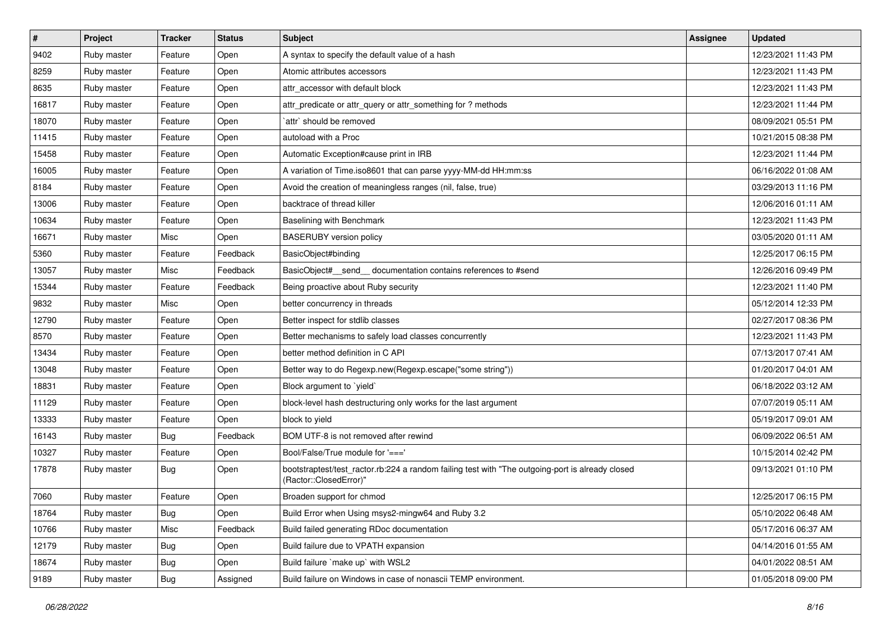| $\vert$ # | Project     | <b>Tracker</b> | <b>Status</b> | <b>Subject</b>                                                                                                             | <b>Assignee</b> | <b>Updated</b>      |
|-----------|-------------|----------------|---------------|----------------------------------------------------------------------------------------------------------------------------|-----------------|---------------------|
| 9402      | Ruby master | Feature        | Open          | A syntax to specify the default value of a hash                                                                            |                 | 12/23/2021 11:43 PM |
| 8259      | Ruby master | Feature        | Open          | Atomic attributes accessors                                                                                                |                 | 12/23/2021 11:43 PM |
| 8635      | Ruby master | Feature        | Open          | attr accessor with default block                                                                                           |                 | 12/23/2021 11:43 PM |
| 16817     | Ruby master | Feature        | Open          | attr_predicate or attr_query or attr_something for ? methods                                                               |                 | 12/23/2021 11:44 PM |
| 18070     | Ruby master | Feature        | Open          | `attr` should be removed                                                                                                   |                 | 08/09/2021 05:51 PM |
| 11415     | Ruby master | Feature        | Open          | autoload with a Proc                                                                                                       |                 | 10/21/2015 08:38 PM |
| 15458     | Ruby master | Feature        | Open          | Automatic Exception#cause print in IRB                                                                                     |                 | 12/23/2021 11:44 PM |
| 16005     | Ruby master | Feature        | Open          | A variation of Time.iso8601 that can parse yyyy-MM-dd HH:mm:ss                                                             |                 | 06/16/2022 01:08 AM |
| 8184      | Ruby master | Feature        | Open          | Avoid the creation of meaningless ranges (nil, false, true)                                                                |                 | 03/29/2013 11:16 PM |
| 13006     | Ruby master | Feature        | Open          | backtrace of thread killer                                                                                                 |                 | 12/06/2016 01:11 AM |
| 10634     | Ruby master | Feature        | Open          | Baselining with Benchmark                                                                                                  |                 | 12/23/2021 11:43 PM |
| 16671     | Ruby master | Misc           | Open          | <b>BASERUBY</b> version policy                                                                                             |                 | 03/05/2020 01:11 AM |
| 5360      | Ruby master | Feature        | Feedback      | BasicObject#binding                                                                                                        |                 | 12/25/2017 06:15 PM |
| 13057     | Ruby master | Misc           | Feedback      | BasicObject# send documentation contains references to #send                                                               |                 | 12/26/2016 09:49 PM |
| 15344     | Ruby master | Feature        | Feedback      | Being proactive about Ruby security                                                                                        |                 | 12/23/2021 11:40 PM |
| 9832      | Ruby master | Misc           | Open          | better concurrency in threads                                                                                              |                 | 05/12/2014 12:33 PM |
| 12790     | Ruby master | Feature        | Open          | Better inspect for stdlib classes                                                                                          |                 | 02/27/2017 08:36 PM |
| 8570      | Ruby master | Feature        | Open          | Better mechanisms to safely load classes concurrently                                                                      |                 | 12/23/2021 11:43 PM |
| 13434     | Ruby master | Feature        | Open          | better method definition in C API                                                                                          |                 | 07/13/2017 07:41 AM |
| 13048     | Ruby master | Feature        | Open          | Better way to do Regexp.new(Regexp.escape("some string"))                                                                  |                 | 01/20/2017 04:01 AM |
| 18831     | Ruby master | Feature        | Open          | Block argument to `yield`                                                                                                  |                 | 06/18/2022 03:12 AM |
| 11129     | Ruby master | Feature        | Open          | block-level hash destructuring only works for the last argument                                                            |                 | 07/07/2019 05:11 AM |
| 13333     | Ruby master | Feature        | Open          | block to yield                                                                                                             |                 | 05/19/2017 09:01 AM |
| 16143     | Ruby master | <b>Bug</b>     | Feedback      | BOM UTF-8 is not removed after rewind                                                                                      |                 | 06/09/2022 06:51 AM |
| 10327     | Ruby master | Feature        | Open          | Bool/False/True module for '==='                                                                                           |                 | 10/15/2014 02:42 PM |
| 17878     | Ruby master | <b>Bug</b>     | Open          | bootstraptest/test_ractor.rb:224 a random failing test with "The outgoing-port is already closed<br>(Ractor::ClosedError)" |                 | 09/13/2021 01:10 PM |
| 7060      | Ruby master | Feature        | Open          | Broaden support for chmod                                                                                                  |                 | 12/25/2017 06:15 PM |
| 18764     | Ruby master | <b>Bug</b>     | Open          | Build Error when Using msys2-mingw64 and Ruby 3.2                                                                          |                 | 05/10/2022 06:48 AM |
| 10766     | Ruby master | Misc           | Feedback      | Build failed generating RDoc documentation                                                                                 |                 | 05/17/2016 06:37 AM |
| 12179     | Ruby master | <b>Bug</b>     | Open          | Build failure due to VPATH expansion                                                                                       |                 | 04/14/2016 01:55 AM |
| 18674     | Ruby master | Bug            | Open          | Build failure `make up` with WSL2                                                                                          |                 | 04/01/2022 08:51 AM |
| 9189      | Ruby master | Bug            | Assigned      | Build failure on Windows in case of nonascii TEMP environment.                                                             |                 | 01/05/2018 09:00 PM |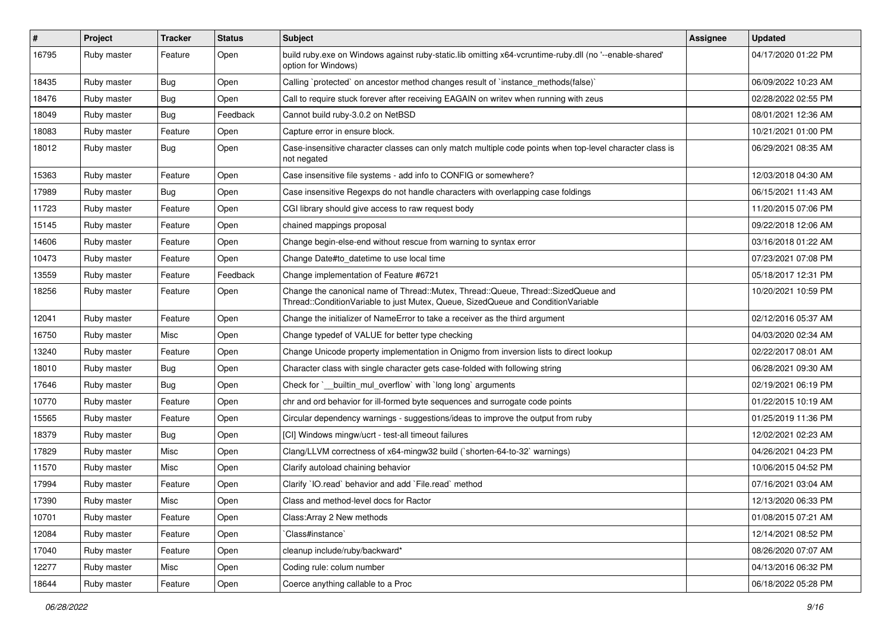| #     | Project     | <b>Tracker</b> | <b>Status</b> | <b>Subject</b>                                                                                                                                                        | <b>Assignee</b> | <b>Updated</b>      |
|-------|-------------|----------------|---------------|-----------------------------------------------------------------------------------------------------------------------------------------------------------------------|-----------------|---------------------|
| 16795 | Ruby master | Feature        | Open          | build ruby exe on Windows against ruby-static lib omitting x64-vcruntime-ruby dll (no '--enable-shared'<br>option for Windows)                                        |                 | 04/17/2020 01:22 PM |
| 18435 | Ruby master | Bug            | Open          | Calling `protected` on ancestor method changes result of `instance_methods(false)`                                                                                    |                 | 06/09/2022 10:23 AM |
| 18476 | Ruby master | <b>Bug</b>     | Open          | Call to require stuck forever after receiving EAGAIN on writev when running with zeus                                                                                 |                 | 02/28/2022 02:55 PM |
| 18049 | Ruby master | <b>Bug</b>     | Feedback      | Cannot build ruby-3.0.2 on NetBSD                                                                                                                                     |                 | 08/01/2021 12:36 AM |
| 18083 | Ruby master | Feature        | Open          | Capture error in ensure block.                                                                                                                                        |                 | 10/21/2021 01:00 PM |
| 18012 | Ruby master | <b>Bug</b>     | Open          | Case-insensitive character classes can only match multiple code points when top-level character class is<br>not negated                                               |                 | 06/29/2021 08:35 AM |
| 15363 | Ruby master | Feature        | Open          | Case insensitive file systems - add info to CONFIG or somewhere?                                                                                                      |                 | 12/03/2018 04:30 AM |
| 17989 | Ruby master | <b>Bug</b>     | Open          | Case insensitive Regexps do not handle characters with overlapping case foldings                                                                                      |                 | 06/15/2021 11:43 AM |
| 11723 | Ruby master | Feature        | Open          | CGI library should give access to raw request body                                                                                                                    |                 | 11/20/2015 07:06 PM |
| 15145 | Ruby master | Feature        | Open          | chained mappings proposal                                                                                                                                             |                 | 09/22/2018 12:06 AM |
| 14606 | Ruby master | Feature        | Open          | Change begin-else-end without rescue from warning to syntax error                                                                                                     |                 | 03/16/2018 01:22 AM |
| 10473 | Ruby master | Feature        | Open          | Change Date#to datetime to use local time                                                                                                                             |                 | 07/23/2021 07:08 PM |
| 13559 | Ruby master | Feature        | Feedback      | Change implementation of Feature #6721                                                                                                                                |                 | 05/18/2017 12:31 PM |
| 18256 | Ruby master | Feature        | Open          | Change the canonical name of Thread::Mutex, Thread::Queue, Thread::SizedQueue and<br>Thread::ConditionVariable to just Mutex, Queue, SizedQueue and ConditionVariable |                 | 10/20/2021 10:59 PM |
| 12041 | Ruby master | Feature        | Open          | Change the initializer of NameError to take a receiver as the third argument                                                                                          |                 | 02/12/2016 05:37 AM |
| 16750 | Ruby master | Misc           | Open          | Change typedef of VALUE for better type checking                                                                                                                      |                 | 04/03/2020 02:34 AM |
| 13240 | Ruby master | Feature        | Open          | Change Unicode property implementation in Onigmo from inversion lists to direct lookup                                                                                |                 | 02/22/2017 08:01 AM |
| 18010 | Ruby master | <b>Bug</b>     | Open          | Character class with single character gets case-folded with following string                                                                                          |                 | 06/28/2021 09:30 AM |
| 17646 | Ruby master | <b>Bug</b>     | Open          | Check for ` builtin mul overflow with long long arguments                                                                                                             |                 | 02/19/2021 06:19 PM |
| 10770 | Ruby master | Feature        | Open          | chr and ord behavior for ill-formed byte sequences and surrogate code points                                                                                          |                 | 01/22/2015 10:19 AM |
| 15565 | Ruby master | Feature        | Open          | Circular dependency warnings - suggestions/ideas to improve the output from ruby                                                                                      |                 | 01/25/2019 11:36 PM |
| 18379 | Ruby master | <b>Bug</b>     | Open          | [CI] Windows mingw/ucrt - test-all timeout failures                                                                                                                   |                 | 12/02/2021 02:23 AM |
| 17829 | Ruby master | Misc           | Open          | Clang/LLVM correctness of x64-mingw32 build (`shorten-64-to-32` warnings)                                                                                             |                 | 04/26/2021 04:23 PM |
| 11570 | Ruby master | Misc           | Open          | Clarify autoload chaining behavior                                                                                                                                    |                 | 10/06/2015 04:52 PM |
| 17994 | Ruby master | Feature        | Open          | Clarify 'IO.read' behavior and add 'File.read' method                                                                                                                 |                 | 07/16/2021 03:04 AM |
| 17390 | Ruby master | Misc           | Open          | Class and method-level docs for Ractor                                                                                                                                |                 | 12/13/2020 06:33 PM |
| 10701 | Ruby master | Feature        | Open          | Class: Array 2 New methods                                                                                                                                            |                 | 01/08/2015 07:21 AM |
| 12084 | Ruby master | Feature        | Open          | Class#instance`                                                                                                                                                       |                 | 12/14/2021 08:52 PM |
| 17040 | Ruby master | Feature        | Open          | cleanup include/ruby/backward*                                                                                                                                        |                 | 08/26/2020 07:07 AM |
| 12277 | Ruby master | Misc           | Open          | Coding rule: colum number                                                                                                                                             |                 | 04/13/2016 06:32 PM |
| 18644 | Ruby master | Feature        | Open          | Coerce anything callable to a Proc                                                                                                                                    |                 | 06/18/2022 05:28 PM |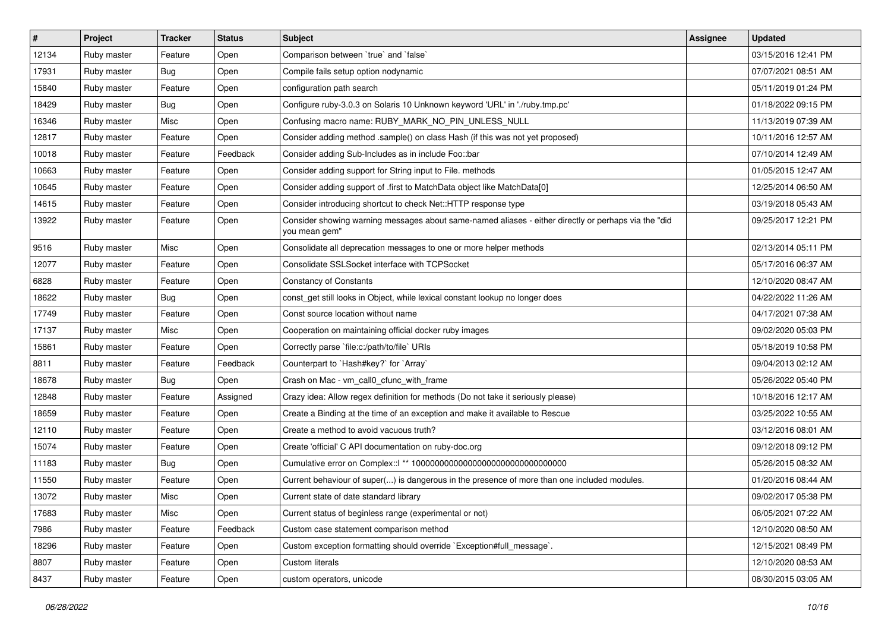| $\vert$ # | Project     | <b>Tracker</b> | <b>Status</b> | <b>Subject</b>                                                                                                        | Assignee | <b>Updated</b>      |
|-----------|-------------|----------------|---------------|-----------------------------------------------------------------------------------------------------------------------|----------|---------------------|
| 12134     | Ruby master | Feature        | Open          | Comparison between 'true' and 'false'                                                                                 |          | 03/15/2016 12:41 PM |
| 17931     | Ruby master | <b>Bug</b>     | Open          | Compile fails setup option nodynamic                                                                                  |          | 07/07/2021 08:51 AM |
| 15840     | Ruby master | Feature        | Open          | configuration path search                                                                                             |          | 05/11/2019 01:24 PM |
| 18429     | Ruby master | Bug            | Open          | Configure ruby-3.0.3 on Solaris 10 Unknown keyword 'URL' in './ruby.tmp.pc'                                           |          | 01/18/2022 09:15 PM |
| 16346     | Ruby master | Misc           | Open          | Confusing macro name: RUBY_MARK_NO_PIN_UNLESS_NULL                                                                    |          | 11/13/2019 07:39 AM |
| 12817     | Ruby master | Feature        | Open          | Consider adding method .sample() on class Hash (if this was not yet proposed)                                         |          | 10/11/2016 12:57 AM |
| 10018     | Ruby master | Feature        | Feedback      | Consider adding Sub-Includes as in include Foo::bar                                                                   |          | 07/10/2014 12:49 AM |
| 10663     | Ruby master | Feature        | Open          | Consider adding support for String input to File. methods                                                             |          | 01/05/2015 12:47 AM |
| 10645     | Ruby master | Feature        | Open          | Consider adding support of .first to MatchData object like MatchData[0]                                               |          | 12/25/2014 06:50 AM |
| 14615     | Ruby master | Feature        | Open          | Consider introducing shortcut to check Net::HTTP response type                                                        |          | 03/19/2018 05:43 AM |
| 13922     | Ruby master | Feature        | Open          | Consider showing warning messages about same-named aliases - either directly or perhaps via the "did<br>you mean gem" |          | 09/25/2017 12:21 PM |
| 9516      | Ruby master | Misc           | Open          | Consolidate all deprecation messages to one or more helper methods                                                    |          | 02/13/2014 05:11 PM |
| 12077     | Ruby master | Feature        | Open          | Consolidate SSLSocket interface with TCPSocket                                                                        |          | 05/17/2016 06:37 AM |
| 6828      | Ruby master | Feature        | Open          | <b>Constancy of Constants</b>                                                                                         |          | 12/10/2020 08:47 AM |
| 18622     | Ruby master | <b>Bug</b>     | Open          | const get still looks in Object, while lexical constant lookup no longer does                                         |          | 04/22/2022 11:26 AM |
| 17749     | Ruby master | Feature        | Open          | Const source location without name                                                                                    |          | 04/17/2021 07:38 AM |
| 17137     | Ruby master | Misc           | Open          | Cooperation on maintaining official docker ruby images                                                                |          | 09/02/2020 05:03 PM |
| 15861     | Ruby master | Feature        | Open          | Correctly parse `file:c:/path/to/file` URIs                                                                           |          | 05/18/2019 10:58 PM |
| 8811      | Ruby master | Feature        | Feedback      | Counterpart to `Hash#key?` for `Array`                                                                                |          | 09/04/2013 02:12 AM |
| 18678     | Ruby master | Bug            | Open          | Crash on Mac - vm_call0_cfunc_with_frame                                                                              |          | 05/26/2022 05:40 PM |
| 12848     | Ruby master | Feature        | Assigned      | Crazy idea: Allow regex definition for methods (Do not take it seriously please)                                      |          | 10/18/2016 12:17 AM |
| 18659     | Ruby master | Feature        | Open          | Create a Binding at the time of an exception and make it available to Rescue                                          |          | 03/25/2022 10:55 AM |
| 12110     | Ruby master | Feature        | Open          | Create a method to avoid vacuous truth?                                                                               |          | 03/12/2016 08:01 AM |
| 15074     | Ruby master | Feature        | Open          | Create 'official' C API documentation on ruby-doc.org                                                                 |          | 09/12/2018 09:12 PM |
| 11183     | Ruby master | <b>Bug</b>     | Open          |                                                                                                                       |          | 05/26/2015 08:32 AM |
| 11550     | Ruby master | Feature        | Open          | Current behaviour of super() is dangerous in the presence of more than one included modules.                          |          | 01/20/2016 08:44 AM |
| 13072     | Ruby master | Misc           | Open          | Current state of date standard library                                                                                |          | 09/02/2017 05:38 PM |
| 17683     | Ruby master | Misc           | Open          | Current status of beginless range (experimental or not)                                                               |          | 06/05/2021 07:22 AM |
| 7986      | Ruby master | Feature        | Feedback      | Custom case statement comparison method                                                                               |          | 12/10/2020 08:50 AM |
| 18296     | Ruby master | Feature        | Open          | Custom exception formatting should override `Exception#full_message`.                                                 |          | 12/15/2021 08:49 PM |
| 8807      | Ruby master | Feature        | Open          | Custom literals                                                                                                       |          | 12/10/2020 08:53 AM |
| 8437      | Ruby master | Feature        | Open          | custom operators, unicode                                                                                             |          | 08/30/2015 03:05 AM |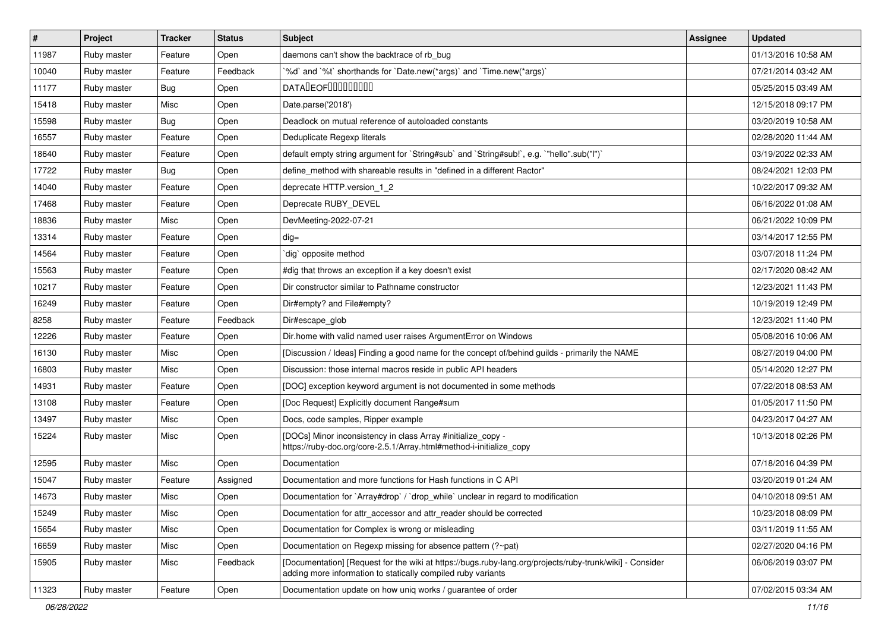| $\sharp$ | Project     | <b>Tracker</b> | <b>Status</b> | <b>Subject</b>                                                                                                                                                           | <b>Assignee</b> | <b>Updated</b>      |
|----------|-------------|----------------|---------------|--------------------------------------------------------------------------------------------------------------------------------------------------------------------------|-----------------|---------------------|
| 11987    | Ruby master | Feature        | Open          | daemons can't show the backtrace of rb bug                                                                                                                               |                 | 01/13/2016 10:58 AM |
| 10040    | Ruby master | Feature        | Feedback      | '%d' and '%t' shorthands for 'Date.new(*args)' and 'Time.new(*args)'                                                                                                     |                 | 07/21/2014 03:42 AM |
| 11177    | Ruby master | <b>Bug</b>     | Open          | <b>DATALEOFILILILILILI</b>                                                                                                                                               |                 | 05/25/2015 03:49 AM |
| 15418    | Ruby master | Misc           | Open          | Date.parse('2018')                                                                                                                                                       |                 | 12/15/2018 09:17 PM |
| 15598    | Ruby master | <b>Bug</b>     | Open          | Deadlock on mutual reference of autoloaded constants                                                                                                                     |                 | 03/20/2019 10:58 AM |
| 16557    | Ruby master | Feature        | Open          | Deduplicate Regexp literals                                                                                                                                              |                 | 02/28/2020 11:44 AM |
| 18640    | Ruby master | Feature        | Open          | default empty string argument for `String#sub` and `String#sub!`, e.g. `"hello".sub("I")`                                                                                |                 | 03/19/2022 02:33 AM |
| 17722    | Ruby master | <b>Bug</b>     | Open          | define_method with shareable results in "defined in a different Ractor"                                                                                                  |                 | 08/24/2021 12:03 PM |
| 14040    | Ruby master | Feature        | Open          | deprecate HTTP.version_1_2                                                                                                                                               |                 | 10/22/2017 09:32 AM |
| 17468    | Ruby master | Feature        | Open          | Deprecate RUBY_DEVEL                                                                                                                                                     |                 | 06/16/2022 01:08 AM |
| 18836    | Ruby master | Misc           | Open          | DevMeeting-2022-07-21                                                                                                                                                    |                 | 06/21/2022 10:09 PM |
| 13314    | Ruby master | Feature        | Open          | $dig =$                                                                                                                                                                  |                 | 03/14/2017 12:55 PM |
| 14564    | Ruby master | Feature        | Open          | dig opposite method                                                                                                                                                      |                 | 03/07/2018 11:24 PM |
| 15563    | Ruby master | Feature        | Open          | #dig that throws an exception if a key doesn't exist                                                                                                                     |                 | 02/17/2020 08:42 AM |
| 10217    | Ruby master | Feature        | Open          | Dir constructor similar to Pathname constructor                                                                                                                          |                 | 12/23/2021 11:43 PM |
| 16249    | Ruby master | Feature        | Open          | Dir#empty? and File#empty?                                                                                                                                               |                 | 10/19/2019 12:49 PM |
| 8258     | Ruby master | Feature        | Feedback      | Dir#escape_glob                                                                                                                                                          |                 | 12/23/2021 11:40 PM |
| 12226    | Ruby master | Feature        | Open          | Dir.home with valid named user raises ArgumentError on Windows                                                                                                           |                 | 05/08/2016 10:06 AM |
| 16130    | Ruby master | Misc           | Open          | [Discussion / Ideas] Finding a good name for the concept of/behind guilds - primarily the NAME                                                                           |                 | 08/27/2019 04:00 PM |
| 16803    | Ruby master | Misc           | Open          | Discussion: those internal macros reside in public API headers                                                                                                           |                 | 05/14/2020 12:27 PM |
| 14931    | Ruby master | Feature        | Open          | [DOC] exception keyword argument is not documented in some methods                                                                                                       |                 | 07/22/2018 08:53 AM |
| 13108    | Ruby master | Feature        | Open          | [Doc Request] Explicitly document Range#sum                                                                                                                              |                 | 01/05/2017 11:50 PM |
| 13497    | Ruby master | Misc           | Open          | Docs, code samples, Ripper example                                                                                                                                       |                 | 04/23/2017 04:27 AM |
| 15224    | Ruby master | Misc           | Open          | [DOCs] Minor inconsistency in class Array #initialize_copy -<br>https://ruby-doc.org/core-2.5.1/Array.html#method-i-initialize_copy                                      |                 | 10/13/2018 02:26 PM |
| 12595    | Ruby master | Misc           | Open          | Documentation                                                                                                                                                            |                 | 07/18/2016 04:39 PM |
| 15047    | Ruby master | Feature        | Assigned      | Documentation and more functions for Hash functions in C API                                                                                                             |                 | 03/20/2019 01:24 AM |
| 14673    | Ruby master | Misc           | Open          | Documentation for `Array#drop` / `drop_while` unclear in regard to modification                                                                                          |                 | 04/10/2018 09:51 AM |
| 15249    | Ruby master | Misc           | Open          | Documentation for attr accessor and attr reader should be corrected                                                                                                      |                 | 10/23/2018 08:09 PM |
| 15654    | Ruby master | Misc           | Open          | Documentation for Complex is wrong or misleading                                                                                                                         |                 | 03/11/2019 11:55 AM |
| 16659    | Ruby master | Misc           | Open          | Documentation on Regexp missing for absence pattern (?~pat)                                                                                                              |                 | 02/27/2020 04:16 PM |
| 15905    | Ruby master | Misc           | Feedback      | [Documentation] [Request for the wiki at https://bugs.ruby-lang.org/projects/ruby-trunk/wiki] - Consider<br>adding more information to statically compiled ruby variants |                 | 06/06/2019 03:07 PM |
| 11323    | Ruby master | Feature        | Open          | Documentation update on how uniq works / guarantee of order                                                                                                              |                 | 07/02/2015 03:34 AM |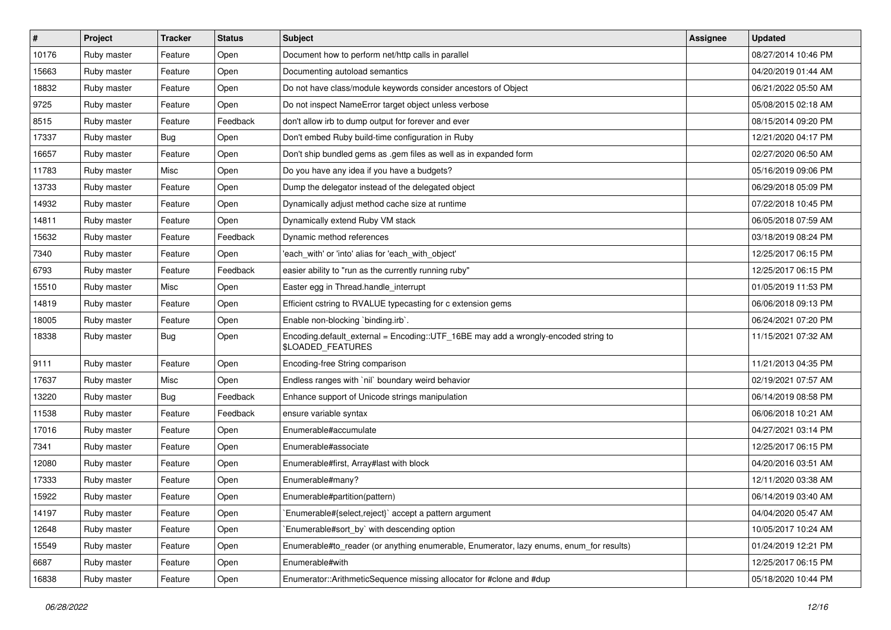| #     | Project     | <b>Tracker</b> | <b>Status</b> | Subject                                                                                                 | <b>Assignee</b> | <b>Updated</b>      |
|-------|-------------|----------------|---------------|---------------------------------------------------------------------------------------------------------|-----------------|---------------------|
| 10176 | Ruby master | Feature        | Open          | Document how to perform net/http calls in parallel                                                      |                 | 08/27/2014 10:46 PM |
| 15663 | Ruby master | Feature        | Open          | Documenting autoload semantics                                                                          |                 | 04/20/2019 01:44 AM |
| 18832 | Ruby master | Feature        | Open          | Do not have class/module keywords consider ancestors of Object                                          |                 | 06/21/2022 05:50 AM |
| 9725  | Ruby master | Feature        | Open          | Do not inspect NameError target object unless verbose                                                   |                 | 05/08/2015 02:18 AM |
| 8515  | Ruby master | Feature        | Feedback      | don't allow irb to dump output for forever and ever                                                     |                 | 08/15/2014 09:20 PM |
| 17337 | Ruby master | Bug            | Open          | Don't embed Ruby build-time configuration in Ruby                                                       |                 | 12/21/2020 04:17 PM |
| 16657 | Ruby master | Feature        | Open          | Don't ship bundled gems as .gem files as well as in expanded form                                       |                 | 02/27/2020 06:50 AM |
| 11783 | Ruby master | Misc           | Open          | Do you have any idea if you have a budgets?                                                             |                 | 05/16/2019 09:06 PM |
| 13733 | Ruby master | Feature        | Open          | Dump the delegator instead of the delegated object                                                      |                 | 06/29/2018 05:09 PM |
| 14932 | Ruby master | Feature        | Open          | Dynamically adjust method cache size at runtime                                                         |                 | 07/22/2018 10:45 PM |
| 14811 | Ruby master | Feature        | Open          | Dynamically extend Ruby VM stack                                                                        |                 | 06/05/2018 07:59 AM |
| 15632 | Ruby master | Feature        | Feedback      | Dynamic method references                                                                               |                 | 03/18/2019 08:24 PM |
| 7340  | Ruby master | Feature        | Open          | 'each_with' or 'into' alias for 'each_with_object'                                                      |                 | 12/25/2017 06:15 PM |
| 6793  | Ruby master | Feature        | Feedback      | easier ability to "run as the currently running ruby"                                                   |                 | 12/25/2017 06:15 PM |
| 15510 | Ruby master | Misc           | Open          | Easter egg in Thread.handle_interrupt                                                                   |                 | 01/05/2019 11:53 PM |
| 14819 | Ruby master | Feature        | Open          | Efficient cstring to RVALUE typecasting for c extension gems                                            |                 | 06/06/2018 09:13 PM |
| 18005 | Ruby master | Feature        | Open          | Enable non-blocking 'binding.irb'.                                                                      |                 | 06/24/2021 07:20 PM |
| 18338 | Ruby master | <b>Bug</b>     | Open          | Encoding.default_external = Encoding::UTF_16BE may add a wrongly-encoded string to<br>\$LOADED_FEATURES |                 | 11/15/2021 07:32 AM |
| 9111  | Ruby master | Feature        | Open          | Encoding-free String comparison                                                                         |                 | 11/21/2013 04:35 PM |
| 17637 | Ruby master | Misc           | Open          | Endless ranges with `nil` boundary weird behavior                                                       |                 | 02/19/2021 07:57 AM |
| 13220 | Ruby master | <b>Bug</b>     | Feedback      | Enhance support of Unicode strings manipulation                                                         |                 | 06/14/2019 08:58 PM |
| 11538 | Ruby master | Feature        | Feedback      | ensure variable syntax                                                                                  |                 | 06/06/2018 10:21 AM |
| 17016 | Ruby master | Feature        | Open          | Enumerable#accumulate                                                                                   |                 | 04/27/2021 03:14 PM |
| 7341  | Ruby master | Feature        | Open          | Enumerable#associate                                                                                    |                 | 12/25/2017 06:15 PM |
| 12080 | Ruby master | Feature        | Open          | Enumerable#first, Array#last with block                                                                 |                 | 04/20/2016 03:51 AM |
| 17333 | Ruby master | Feature        | Open          | Enumerable#many?                                                                                        |                 | 12/11/2020 03:38 AM |
| 15922 | Ruby master | Feature        | Open          | Enumerable#partition(pattern)                                                                           |                 | 06/14/2019 03:40 AM |
| 14197 | Ruby master | Feature        | Open          | Enumerable#{select,reject}` accept a pattern argument                                                   |                 | 04/04/2020 05:47 AM |
| 12648 | Ruby master | Feature        | Open          | Enumerable#sort_by` with descending option                                                              |                 | 10/05/2017 10:24 AM |
| 15549 | Ruby master | Feature        | Open          | Enumerable#to_reader (or anything enumerable, Enumerator, lazy enums, enum_for results)                 |                 | 01/24/2019 12:21 PM |
| 6687  | Ruby master | Feature        | Open          | Enumerable#with                                                                                         |                 | 12/25/2017 06:15 PM |
| 16838 | Ruby master | Feature        | Open          | Enumerator::ArithmeticSequence missing allocator for #clone and #dup                                    |                 | 05/18/2020 10:44 PM |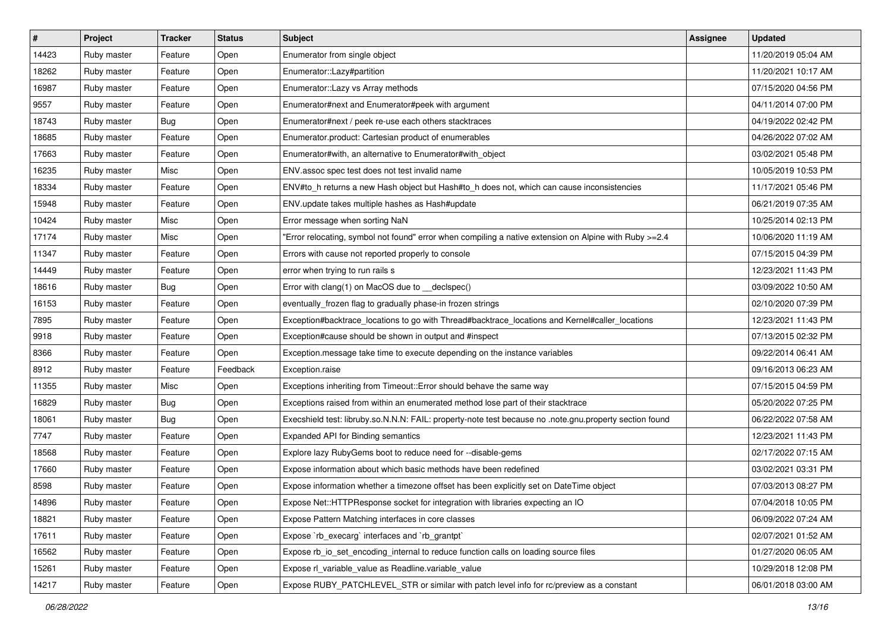| #     | Project     | <b>Tracker</b> | <b>Status</b> | <b>Subject</b>                                                                                          | Assignee | <b>Updated</b>      |
|-------|-------------|----------------|---------------|---------------------------------------------------------------------------------------------------------|----------|---------------------|
| 14423 | Ruby master | Feature        | Open          | Enumerator from single object                                                                           |          | 11/20/2019 05:04 AM |
| 18262 | Ruby master | Feature        | Open          | Enumerator::Lazy#partition                                                                              |          | 11/20/2021 10:17 AM |
| 16987 | Ruby master | Feature        | Open          | Enumerator:: Lazy vs Array methods                                                                      |          | 07/15/2020 04:56 PM |
| 9557  | Ruby master | Feature        | Open          | Enumerator#next and Enumerator#peek with argument                                                       |          | 04/11/2014 07:00 PM |
| 18743 | Ruby master | <b>Bug</b>     | Open          | Enumerator#next / peek re-use each others stacktraces                                                   |          | 04/19/2022 02:42 PM |
| 18685 | Ruby master | Feature        | Open          | Enumerator.product: Cartesian product of enumerables                                                    |          | 04/26/2022 07:02 AM |
| 17663 | Ruby master | Feature        | Open          | Enumerator#with, an alternative to Enumerator#with_object                                               |          | 03/02/2021 05:48 PM |
| 16235 | Ruby master | Misc           | Open          | ENV assoc spec test does not test invalid name                                                          |          | 10/05/2019 10:53 PM |
| 18334 | Ruby master | Feature        | Open          | ENV#to_h returns a new Hash object but Hash#to_h does not, which can cause inconsistencies              |          | 11/17/2021 05:46 PM |
| 15948 | Ruby master | Feature        | Open          | ENV.update takes multiple hashes as Hash#update                                                         |          | 06/21/2019 07:35 AM |
| 10424 | Ruby master | Misc           | Open          | Error message when sorting NaN                                                                          |          | 10/25/2014 02:13 PM |
| 17174 | Ruby master | Misc           | Open          | Error relocating, symbol not found" error when compiling a native extension on Alpine with Ruby >=2.4   |          | 10/06/2020 11:19 AM |
| 11347 | Ruby master | Feature        | Open          | Errors with cause not reported properly to console                                                      |          | 07/15/2015 04:39 PM |
| 14449 | Ruby master | Feature        | Open          | error when trying to run rails s                                                                        |          | 12/23/2021 11:43 PM |
| 18616 | Ruby master | <b>Bug</b>     | Open          | Error with clang(1) on MacOS due to _declspec()                                                         |          | 03/09/2022 10:50 AM |
| 16153 | Ruby master | Feature        | Open          | eventually_frozen flag to gradually phase-in frozen strings                                             |          | 02/10/2020 07:39 PM |
| 7895  | Ruby master | Feature        | Open          | Exception#backtrace_locations to go with Thread#backtrace_locations and Kernel#caller_locations         |          | 12/23/2021 11:43 PM |
| 9918  | Ruby master | Feature        | Open          | Exception#cause should be shown in output and #inspect                                                  |          | 07/13/2015 02:32 PM |
| 8366  | Ruby master | Feature        | Open          | Exception message take time to execute depending on the instance variables                              |          | 09/22/2014 06:41 AM |
| 8912  | Ruby master | Feature        | Feedback      | Exception.raise                                                                                         |          | 09/16/2013 06:23 AM |
| 11355 | Ruby master | Misc           | Open          | Exceptions inheriting from Timeout:: Error should behave the same way                                   |          | 07/15/2015 04:59 PM |
| 16829 | Ruby master | <b>Bug</b>     | Open          | Exceptions raised from within an enumerated method lose part of their stacktrace                        |          | 05/20/2022 07:25 PM |
| 18061 | Ruby master | Bug            | Open          | Execshield test: libruby.so.N.N.N: FAIL: property-note test because no .note.gnu.property section found |          | 06/22/2022 07:58 AM |
| 7747  | Ruby master | Feature        | Open          | Expanded API for Binding semantics                                                                      |          | 12/23/2021 11:43 PM |
| 18568 | Ruby master | Feature        | Open          | Explore lazy RubyGems boot to reduce need for --disable-gems                                            |          | 02/17/2022 07:15 AM |
| 17660 | Ruby master | Feature        | Open          | Expose information about which basic methods have been redefined                                        |          | 03/02/2021 03:31 PM |
| 8598  | Ruby master | Feature        | Open          | Expose information whether a timezone offset has been explicitly set on DateTime object                 |          | 07/03/2013 08:27 PM |
| 14896 | Ruby master | Feature        | Open          | Expose Net::HTTPResponse socket for integration with libraries expecting an IO                          |          | 07/04/2018 10:05 PM |
| 18821 | Ruby master | Feature        | Open          | Expose Pattern Matching interfaces in core classes                                                      |          | 06/09/2022 07:24 AM |
| 17611 | Ruby master | Feature        | Open          | Expose `rb_execarg` interfaces and `rb_grantpt`                                                         |          | 02/07/2021 01:52 AM |
| 16562 | Ruby master | Feature        | Open          | Expose rb_io_set_encoding_internal to reduce function calls on loading source files                     |          | 01/27/2020 06:05 AM |
| 15261 | Ruby master | Feature        | Open          | Expose rl_variable_value as Readline.variable_value                                                     |          | 10/29/2018 12:08 PM |
| 14217 | Ruby master | Feature        | Open          | Expose RUBY_PATCHLEVEL_STR or similar with patch level info for rc/preview as a constant                |          | 06/01/2018 03:00 AM |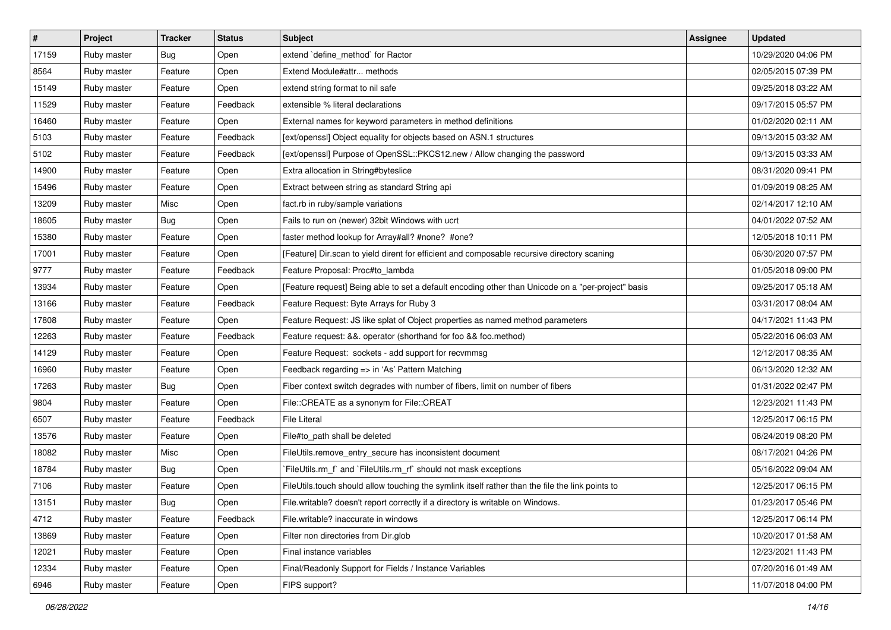| $\vert$ # | Project     | <b>Tracker</b> | <b>Status</b> | Subject                                                                                            | Assignee | <b>Updated</b>      |
|-----------|-------------|----------------|---------------|----------------------------------------------------------------------------------------------------|----------|---------------------|
| 17159     | Ruby master | <b>Bug</b>     | Open          | extend `define_method` for Ractor                                                                  |          | 10/29/2020 04:06 PM |
| 8564      | Ruby master | Feature        | Open          | Extend Module#attr methods                                                                         |          | 02/05/2015 07:39 PM |
| 15149     | Ruby master | Feature        | Open          | extend string format to nil safe                                                                   |          | 09/25/2018 03:22 AM |
| 11529     | Ruby master | Feature        | Feedback      | extensible % literal declarations                                                                  |          | 09/17/2015 05:57 PM |
| 16460     | Ruby master | Feature        | Open          | External names for keyword parameters in method definitions                                        |          | 01/02/2020 02:11 AM |
| 5103      | Ruby master | Feature        | Feedback      | [ext/openssl] Object equality for objects based on ASN.1 structures                                |          | 09/13/2015 03:32 AM |
| 5102      | Ruby master | Feature        | Feedback      | [ext/openssl] Purpose of OpenSSL::PKCS12.new / Allow changing the password                         |          | 09/13/2015 03:33 AM |
| 14900     | Ruby master | Feature        | Open          | Extra allocation in String#byteslice                                                               |          | 08/31/2020 09:41 PM |
| 15496     | Ruby master | Feature        | Open          | Extract between string as standard String api                                                      |          | 01/09/2019 08:25 AM |
| 13209     | Ruby master | Misc           | Open          | fact.rb in ruby/sample variations                                                                  |          | 02/14/2017 12:10 AM |
| 18605     | Ruby master | Bug            | Open          | Fails to run on (newer) 32bit Windows with ucrt                                                    |          | 04/01/2022 07:52 AM |
| 15380     | Ruby master | Feature        | Open          | faster method lookup for Array#all? #none? #one?                                                   |          | 12/05/2018 10:11 PM |
| 17001     | Ruby master | Feature        | Open          | [Feature] Dir.scan to yield dirent for efficient and composable recursive directory scaning        |          | 06/30/2020 07:57 PM |
| 9777      | Ruby master | Feature        | Feedback      | Feature Proposal: Proc#to_lambda                                                                   |          | 01/05/2018 09:00 PM |
| 13934     | Ruby master | Feature        | Open          | [Feature request] Being able to set a default encoding other than Unicode on a "per-project" basis |          | 09/25/2017 05:18 AM |
| 13166     | Ruby master | Feature        | Feedback      | Feature Request: Byte Arrays for Ruby 3                                                            |          | 03/31/2017 08:04 AM |
| 17808     | Ruby master | Feature        | Open          | Feature Request: JS like splat of Object properties as named method parameters                     |          | 04/17/2021 11:43 PM |
| 12263     | Ruby master | Feature        | Feedback      | Feature request: &&. operator (shorthand for foo && foo.method)                                    |          | 05/22/2016 06:03 AM |
| 14129     | Ruby master | Feature        | Open          | Feature Request: sockets - add support for recvmmsg                                                |          | 12/12/2017 08:35 AM |
| 16960     | Ruby master | Feature        | Open          | Feedback regarding => in 'As' Pattern Matching                                                     |          | 06/13/2020 12:32 AM |
| 17263     | Ruby master | Bug            | Open          | Fiber context switch degrades with number of fibers, limit on number of fibers                     |          | 01/31/2022 02:47 PM |
| 9804      | Ruby master | Feature        | Open          | File::CREATE as a synonym for File::CREAT                                                          |          | 12/23/2021 11:43 PM |
| 6507      | Ruby master | Feature        | Feedback      | <b>File Literal</b>                                                                                |          | 12/25/2017 06:15 PM |
| 13576     | Ruby master | Feature        | Open          | File#to_path shall be deleted                                                                      |          | 06/24/2019 08:20 PM |
| 18082     | Ruby master | Misc           | Open          | FileUtils.remove_entry_secure has inconsistent document                                            |          | 08/17/2021 04:26 PM |
| 18784     | Ruby master | Bug            | Open          | FileUtils.rm_f` and `FileUtils.rm_rf` should not mask exceptions                                   |          | 05/16/2022 09:04 AM |
| 7106      | Ruby master | Feature        | Open          | FileUtils.touch should allow touching the symlink itself rather than the file the link points to   |          | 12/25/2017 06:15 PM |
| 13151     | Ruby master | <b>Bug</b>     | Open          | File.writable? doesn't report correctly if a directory is writable on Windows.                     |          | 01/23/2017 05:46 PM |
| 4712      | Ruby master | Feature        | Feedback      | File.writable? inaccurate in windows                                                               |          | 12/25/2017 06:14 PM |
| 13869     | Ruby master | Feature        | Open          | Filter non directories from Dir.glob                                                               |          | 10/20/2017 01:58 AM |
| 12021     | Ruby master | Feature        | Open          | Final instance variables                                                                           |          | 12/23/2021 11:43 PM |
| 12334     | Ruby master | Feature        | Open          | Final/Readonly Support for Fields / Instance Variables                                             |          | 07/20/2016 01:49 AM |
| 6946      | Ruby master | Feature        | Open          | FIPS support?                                                                                      |          | 11/07/2018 04:00 PM |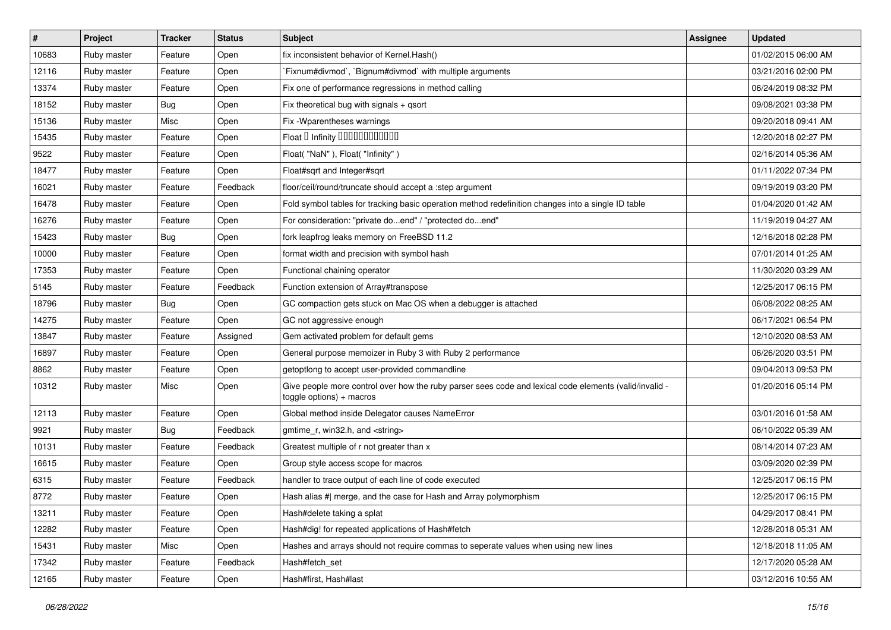| #     | Project     | <b>Tracker</b> | <b>Status</b> | <b>Subject</b>                                                                                                                     | <b>Assignee</b> | <b>Updated</b>      |
|-------|-------------|----------------|---------------|------------------------------------------------------------------------------------------------------------------------------------|-----------------|---------------------|
| 10683 | Ruby master | Feature        | Open          | fix inconsistent behavior of Kernel. Hash()                                                                                        |                 | 01/02/2015 06:00 AM |
| 12116 | Ruby master | Feature        | Open          | Fixnum#divmod`, `Bignum#divmod` with multiple arguments                                                                            |                 | 03/21/2016 02:00 PM |
| 13374 | Ruby master | Feature        | Open          | Fix one of performance regressions in method calling                                                                               |                 | 06/24/2019 08:32 PM |
| 18152 | Ruby master | <b>Bug</b>     | Open          | Fix theoretical bug with signals + qsort                                                                                           |                 | 09/08/2021 03:38 PM |
| 15136 | Ruby master | Misc           | Open          | Fix - Wparentheses warnings                                                                                                        |                 | 09/20/2018 09:41 AM |
| 15435 | Ruby master | Feature        | Open          | Float D Infinity 000000000000                                                                                                      |                 | 12/20/2018 02:27 PM |
| 9522  | Ruby master | Feature        | Open          | Float("NaN"), Float("Infinity")                                                                                                    |                 | 02/16/2014 05:36 AM |
| 18477 | Ruby master | Feature        | Open          | Float#sqrt and Integer#sqrt                                                                                                        |                 | 01/11/2022 07:34 PM |
| 16021 | Ruby master | Feature        | Feedback      | floor/ceil/round/truncate should accept a :step argument                                                                           |                 | 09/19/2019 03:20 PM |
| 16478 | Ruby master | Feature        | Open          | Fold symbol tables for tracking basic operation method redefinition changes into a single ID table                                 |                 | 01/04/2020 01:42 AM |
| 16276 | Ruby master | Feature        | Open          | For consideration: "private doend" / "protected doend"                                                                             |                 | 11/19/2019 04:27 AM |
| 15423 | Ruby master | <b>Bug</b>     | Open          | fork leapfrog leaks memory on FreeBSD 11.2                                                                                         |                 | 12/16/2018 02:28 PM |
| 10000 | Ruby master | Feature        | Open          | format width and precision with symbol hash                                                                                        |                 | 07/01/2014 01:25 AM |
| 17353 | Ruby master | Feature        | Open          | Functional chaining operator                                                                                                       |                 | 11/30/2020 03:29 AM |
| 5145  | Ruby master | Feature        | Feedback      | Function extension of Array#transpose                                                                                              |                 | 12/25/2017 06:15 PM |
| 18796 | Ruby master | <b>Bug</b>     | Open          | GC compaction gets stuck on Mac OS when a debugger is attached                                                                     |                 | 06/08/2022 08:25 AM |
| 14275 | Ruby master | Feature        | Open          | GC not aggressive enough                                                                                                           |                 | 06/17/2021 06:54 PM |
| 13847 | Ruby master | Feature        | Assigned      | Gem activated problem for default gems                                                                                             |                 | 12/10/2020 08:53 AM |
| 16897 | Ruby master | Feature        | Open          | General purpose memoizer in Ruby 3 with Ruby 2 performance                                                                         |                 | 06/26/2020 03:51 PM |
| 8862  | Ruby master | Feature        | Open          | getoptlong to accept user-provided commandline                                                                                     |                 | 09/04/2013 09:53 PM |
| 10312 | Ruby master | Misc           | Open          | Give people more control over how the ruby parser sees code and lexical code elements (valid/invalid -<br>toggle options) + macros |                 | 01/20/2016 05:14 PM |
| 12113 | Ruby master | Feature        | Open          | Global method inside Delegator causes NameError                                                                                    |                 | 03/01/2016 01:58 AM |
| 9921  | Ruby master | <b>Bug</b>     | Feedback      | gmtime_r, win32.h, and <string></string>                                                                                           |                 | 06/10/2022 05:39 AM |
| 10131 | Ruby master | Feature        | Feedback      | Greatest multiple of r not greater than x                                                                                          |                 | 08/14/2014 07:23 AM |
| 16615 | Ruby master | Feature        | Open          | Group style access scope for macros                                                                                                |                 | 03/09/2020 02:39 PM |
| 6315  | Ruby master | Feature        | Feedback      | handler to trace output of each line of code executed                                                                              |                 | 12/25/2017 06:15 PM |
| 8772  | Ruby master | Feature        | Open          | Hash alias #  merge, and the case for Hash and Array polymorphism                                                                  |                 | 12/25/2017 06:15 PM |
| 13211 | Ruby master | Feature        | Open          | Hash#delete taking a splat                                                                                                         |                 | 04/29/2017 08:41 PM |
| 12282 | Ruby master | Feature        | Open          | Hash#dig! for repeated applications of Hash#fetch                                                                                  |                 | 12/28/2018 05:31 AM |
| 15431 | Ruby master | Misc           | Open          | Hashes and arrays should not require commas to seperate values when using new lines                                                |                 | 12/18/2018 11:05 AM |
| 17342 | Ruby master | Feature        | Feedback      | Hash#fetch set                                                                                                                     |                 | 12/17/2020 05:28 AM |
| 12165 | Ruby master | Feature        | Open          | Hash#first, Hash#last                                                                                                              |                 | 03/12/2016 10:55 AM |